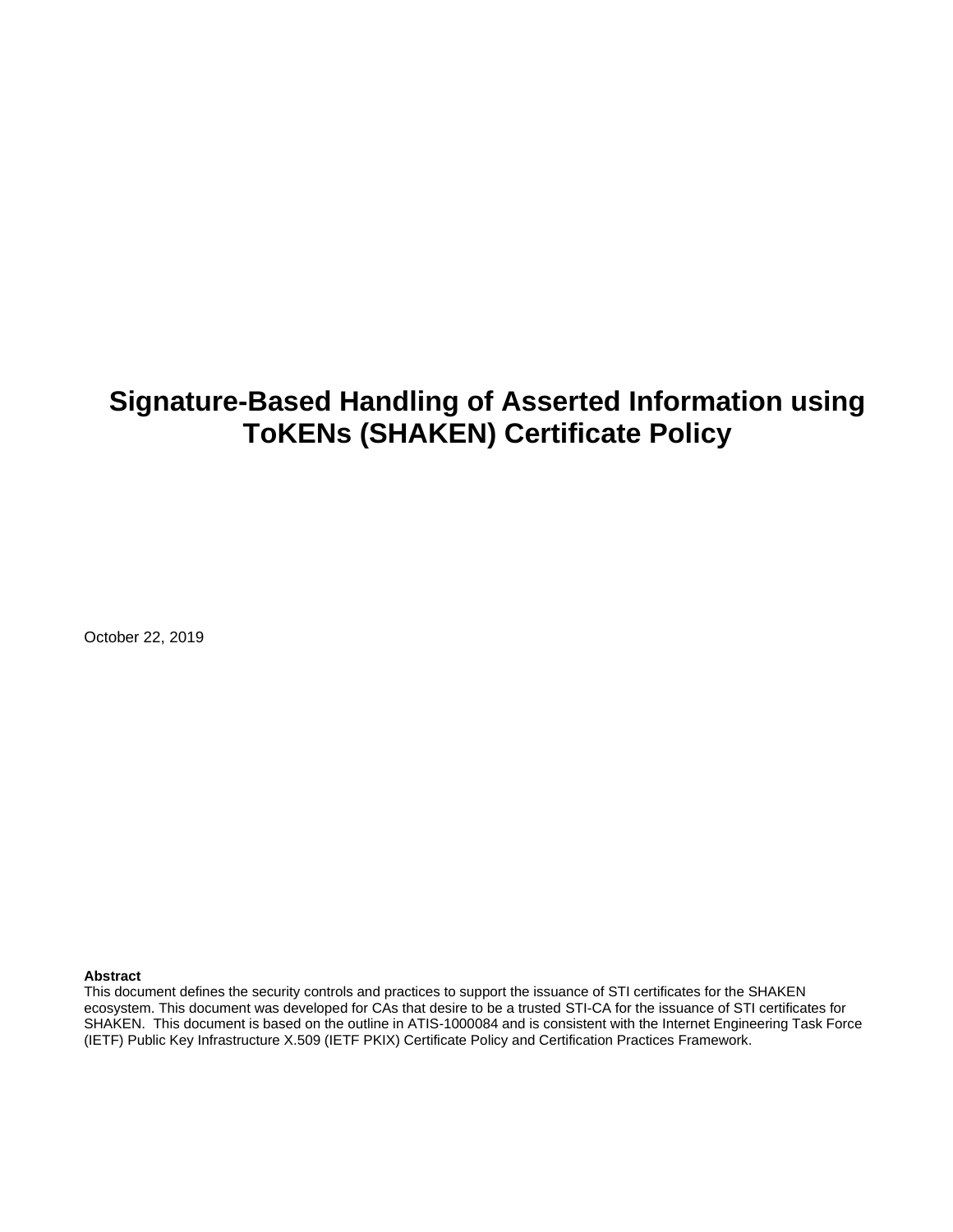# **Signature-Based Handling of Asserted Information using ToKENs (SHAKEN) Certificate Policy**

October 22, 2019

#### **Abstract**

This document defines the security controls and practices to support the issuance of STI certificates for the SHAKEN ecosystem. This document was developed for CAs that desire to be a trusted STI-CA for the issuance of STI certificates for SHAKEN. This document is based on the outline in ATIS-1000084 and is consistent with the Internet Engineering Task Force (IETF) Public Key Infrastructure X.509 (IETF PKIX) Certificate Policy and Certification Practices Framework.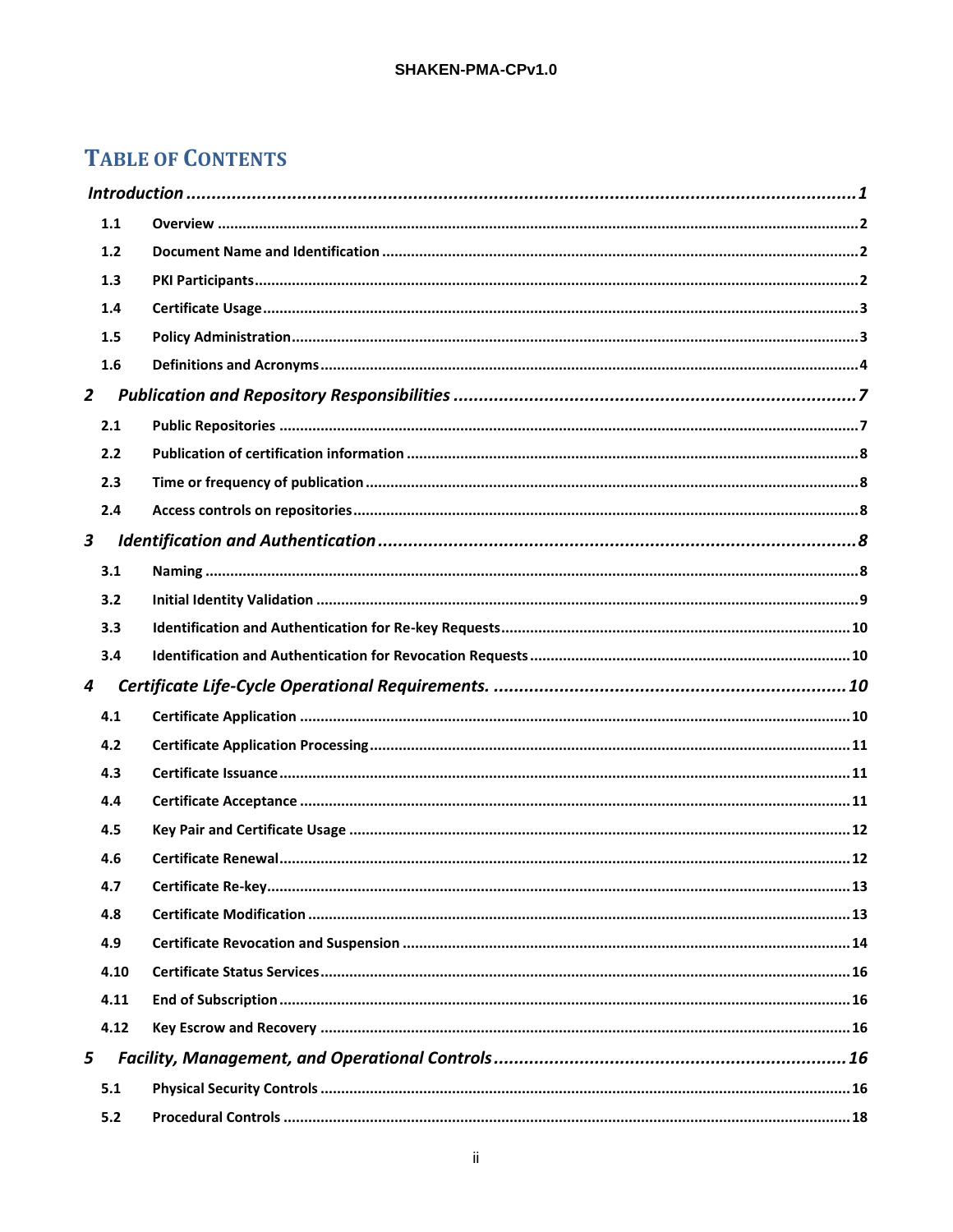# **TABLE OF CONTENTS**

|                | 1.1  |  |  |  |  |
|----------------|------|--|--|--|--|
|                | 1.2  |  |  |  |  |
|                | 1.3  |  |  |  |  |
|                | 1.4  |  |  |  |  |
|                | 1.5  |  |  |  |  |
|                | 1.6  |  |  |  |  |
| $\overline{2}$ |      |  |  |  |  |
|                | 2.1  |  |  |  |  |
|                | 2.2  |  |  |  |  |
|                | 2.3  |  |  |  |  |
|                | 2.4  |  |  |  |  |
| 3              |      |  |  |  |  |
|                | 3.1  |  |  |  |  |
|                | 3.2  |  |  |  |  |
|                | 3.3  |  |  |  |  |
|                | 3.4  |  |  |  |  |
| 4              |      |  |  |  |  |
|                | 4.1  |  |  |  |  |
|                | 4.2  |  |  |  |  |
|                | 4.3  |  |  |  |  |
|                | 4.4  |  |  |  |  |
|                | 4.5  |  |  |  |  |
|                | 4.6  |  |  |  |  |
|                | 4.7  |  |  |  |  |
|                | 4.8  |  |  |  |  |
|                | 4.9  |  |  |  |  |
|                | 4.10 |  |  |  |  |
|                | 4.11 |  |  |  |  |
|                | 4.12 |  |  |  |  |
| 5              |      |  |  |  |  |
|                | 5.1  |  |  |  |  |
|                | 5.2  |  |  |  |  |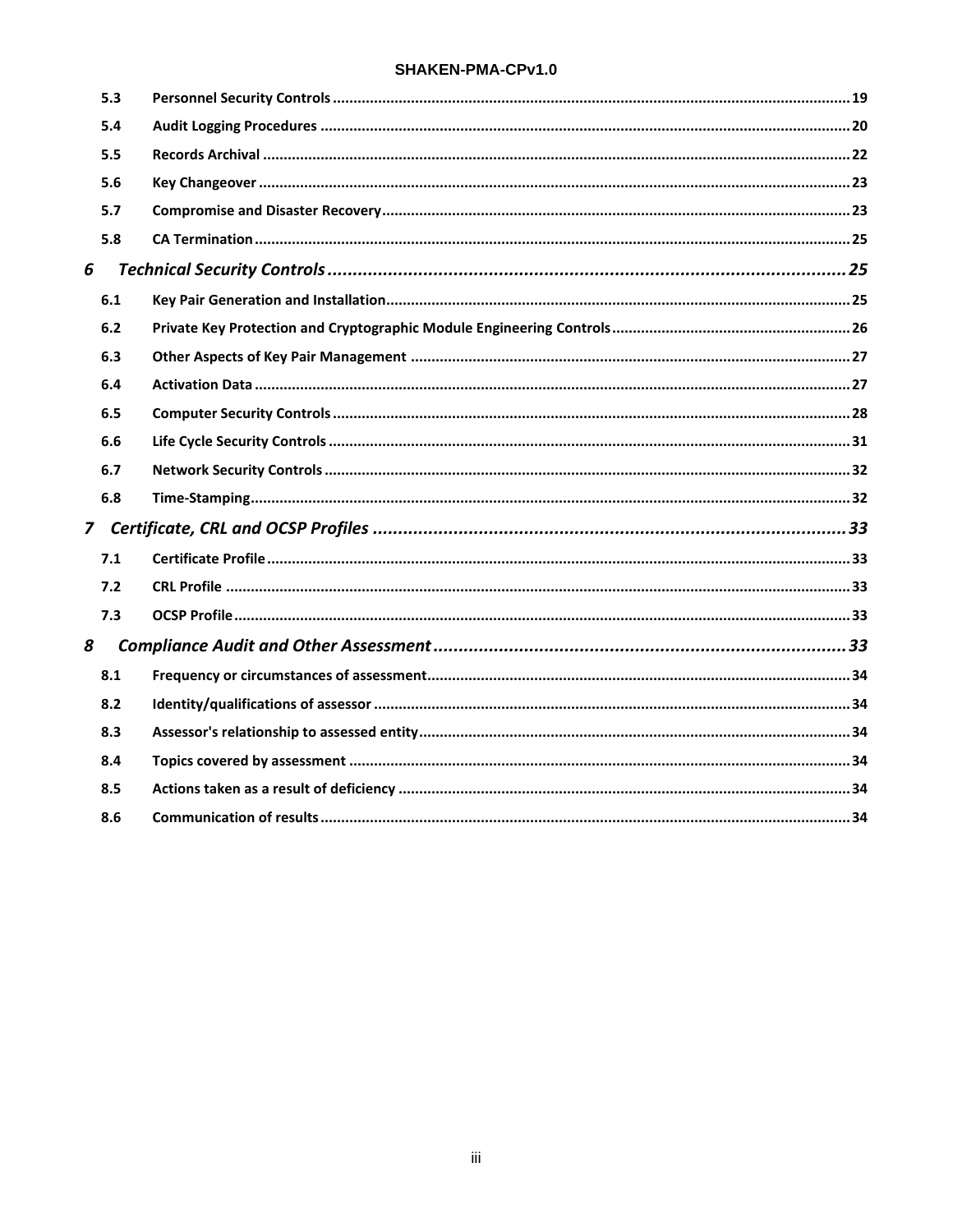#### SHAKEN-PMA-CPv1.0

|   | 5.3 |  |
|---|-----|--|
|   | 5.4 |  |
|   | 5.5 |  |
|   | 5.6 |  |
|   | 5.7 |  |
|   | 5.8 |  |
| 6 |     |  |
|   | 6.1 |  |
|   | 6.2 |  |
|   | 6.3 |  |
|   | 6.4 |  |
|   | 6.5 |  |
|   | 6.6 |  |
|   | 6.7 |  |
|   | 6.8 |  |
|   |     |  |
|   | 7.1 |  |
|   | 7.2 |  |
|   | 7.3 |  |
| 8 |     |  |
|   | 8.1 |  |
|   | 8.2 |  |
|   | 8.3 |  |
|   | 8.4 |  |
|   | 8.5 |  |
|   | 8.6 |  |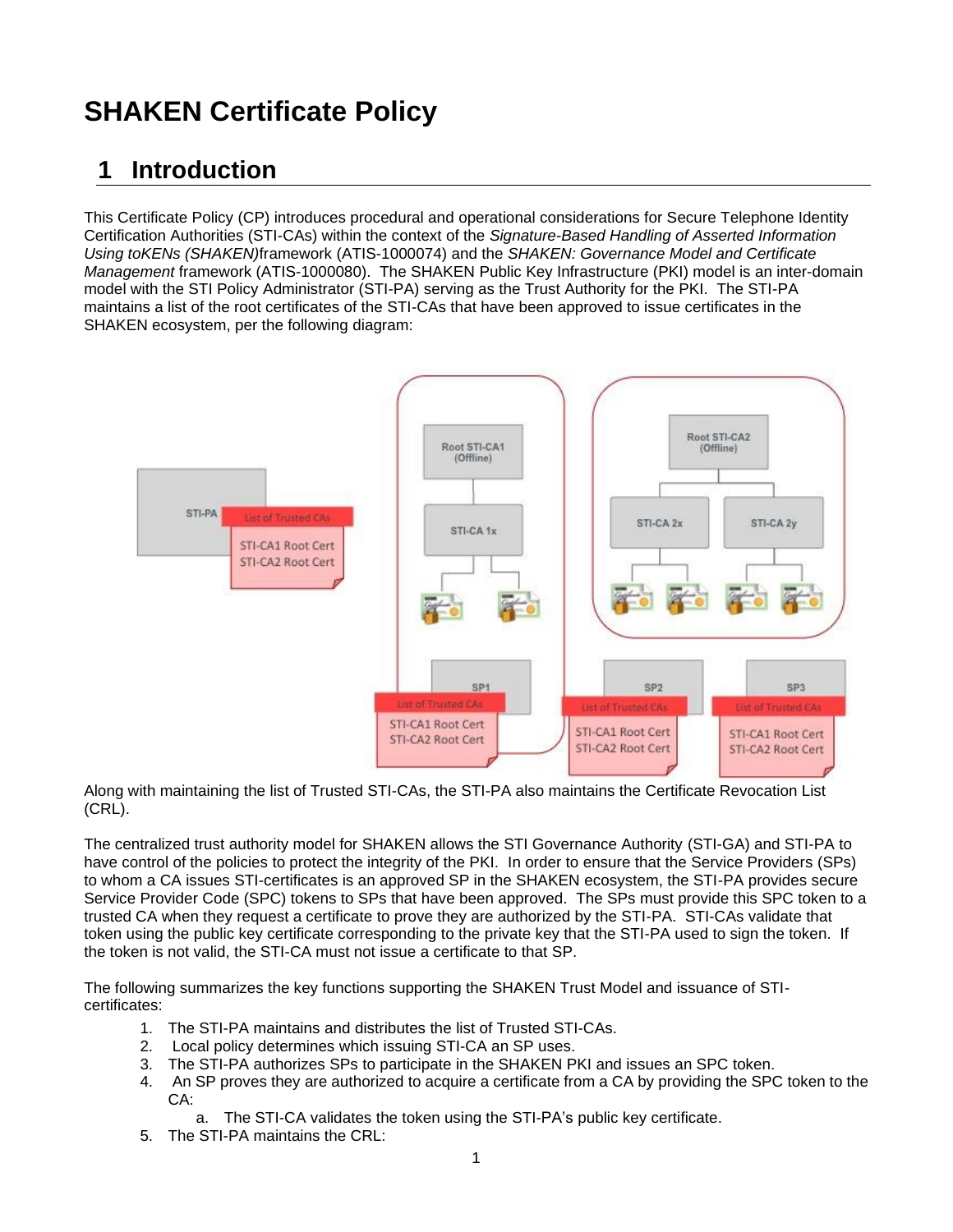# **SHAKEN Certificate Policy**

# **1 Introduction**

This Certificate Policy (CP) introduces procedural and operational considerations for Secure Telephone Identity Certification Authorities (STI-CAs) within the context of the *Signature-Based Handling of Asserted Information Using toKENs (SHAKEN)*framework (ATIS-1000074) and the *SHAKEN: Governance Model and Certificate Management* framework (ATIS-1000080). The SHAKEN Public Key Infrastructure (PKI) model is an inter-domain model with the STI Policy Administrator (STI-PA) serving as the Trust Authority for the PKI. The STI-PA maintains a list of the root certificates of the STI-CAs that have been approved to issue certificates in the SHAKEN ecosystem, per the following diagram:



Along with maintaining the list of Trusted STI-CAs, the STI-PA also maintains the Certificate Revocation List (CRL).

The centralized trust authority model for SHAKEN allows the STI Governance Authority (STI-GA) and STI-PA to have control of the policies to protect the integrity of the PKI. In order to ensure that the Service Providers (SPs) to whom a CA issues STI-certificates is an approved SP in the SHAKEN ecosystem, the STI-PA provides secure Service Provider Code (SPC) tokens to SPs that have been approved. The SPs must provide this SPC token to a trusted CA when they request a certificate to prove they are authorized by the STI-PA. STI-CAs validate that token using the public key certificate corresponding to the private key that the STI-PA used to sign the token. If the token is not valid, the STI-CA must not issue a certificate to that SP.

The following summarizes the key functions supporting the SHAKEN Trust Model and issuance of STIcertificates:

- 1. The STI-PA maintains and distributes the list of Trusted STI-CAs.
- 2. Local policy determines which issuing STI-CA an SP uses.
- 3. The STI-PA authorizes SPs to participate in the SHAKEN PKI and issues an SPC token.
- 4. An SP proves they are authorized to acquire a certificate from a CA by providing the SPC token to the CA:
	- a. The STI-CA validates the token using the STI-PA's public key certificate.
- 5. The STI-PA maintains the CRL: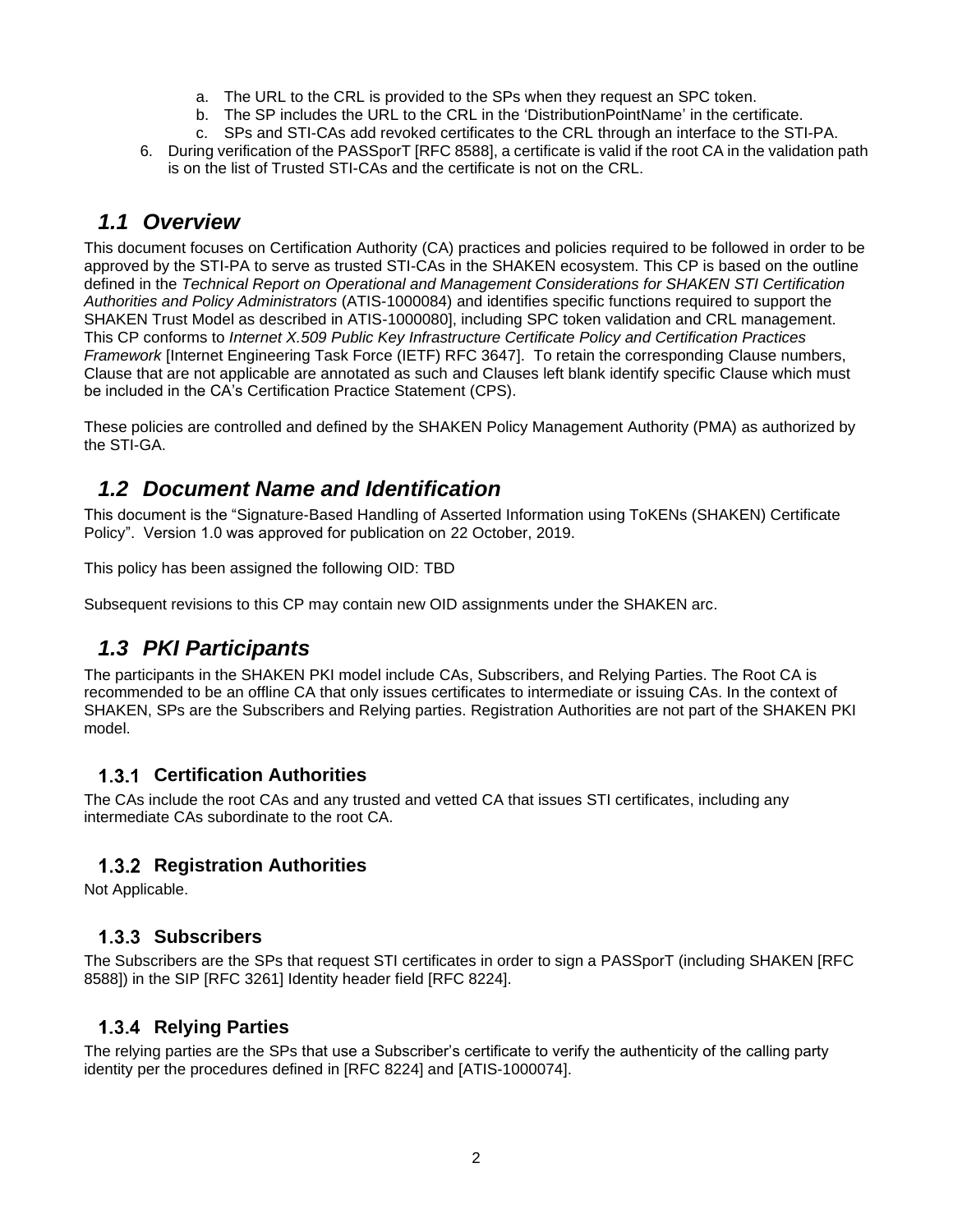- a. The URL to the CRL is provided to the SPs when they request an SPC token.
- b. The SP includes the URL to the CRL in the 'DistributionPointName' in the certificate.
- c. SPs and STI-CAs add revoked certificates to the CRL through an interface to the STI-PA.
- 6. During verification of the PASSporT [RFC 8588], a certificate is valid if the root CA in the validation path is on the list of Trusted STI-CAs and the certificate is not on the CRL.

### *1.1 Overview*

This document focuses on Certification Authority (CA) practices and policies required to be followed in order to be approved by the STI-PA to serve as trusted STI-CAs in the SHAKEN ecosystem. This CP is based on the outline defined in the *Technical Report on Operational and Management Considerations for SHAKEN STI Certification Authorities and Policy Administrators* (ATIS-1000084) and identifies specific functions required to support the SHAKEN Trust Model as described in ATIS-1000080], including SPC token validation and CRL management. This CP conforms to *Internet X.509 Public Key Infrastructure Certificate Policy and Certification Practices Framework* [Internet Engineering Task Force (IETF) RFC 3647]. To retain the corresponding Clause numbers, Clause that are not applicable are annotated as such and Clauses left blank identify specific Clause which must be included in the CA's Certification Practice Statement (CPS).

These policies are controlled and defined by the SHAKEN Policy Management Authority (PMA) as authorized by the STI-GA.

# *1.2 Document Name and Identification*

This document is the "Signature-Based Handling of Asserted Information using ToKENs (SHAKEN) Certificate Policy". Version 1.0 was approved for publication on 22 October, 2019.

This policy has been assigned the following OID: TBD

Subsequent revisions to this CP may contain new OID assignments under the SHAKEN arc.

# *1.3 PKI Participants*

The participants in the SHAKEN PKI model include CAs, Subscribers, and Relying Parties. The Root CA is recommended to be an offline CA that only issues certificates to intermediate or issuing CAs. In the context of SHAKEN, SPs are the Subscribers and Relying parties. Registration Authorities are not part of the SHAKEN PKI model.

#### **Certification Authorities**

The CAs include the root CAs and any trusted and vetted CA that issues STI certificates, including any intermediate CAs subordinate to the root CA.

#### **1.3.2 Registration Authorities**

Not Applicable.

#### 1.3.3 Subscribers

The Subscribers are the SPs that request STI certificates in order to sign a PASSporT (including SHAKEN [RFC 8588]) in the SIP [RFC 3261] Identity header field [RFC 8224].

#### **1.3.4 Relying Parties**

The relying parties are the SPs that use a Subscriber's certificate to verify the authenticity of the calling party identity per the procedures defined in [RFC 8224] and [ATIS-1000074].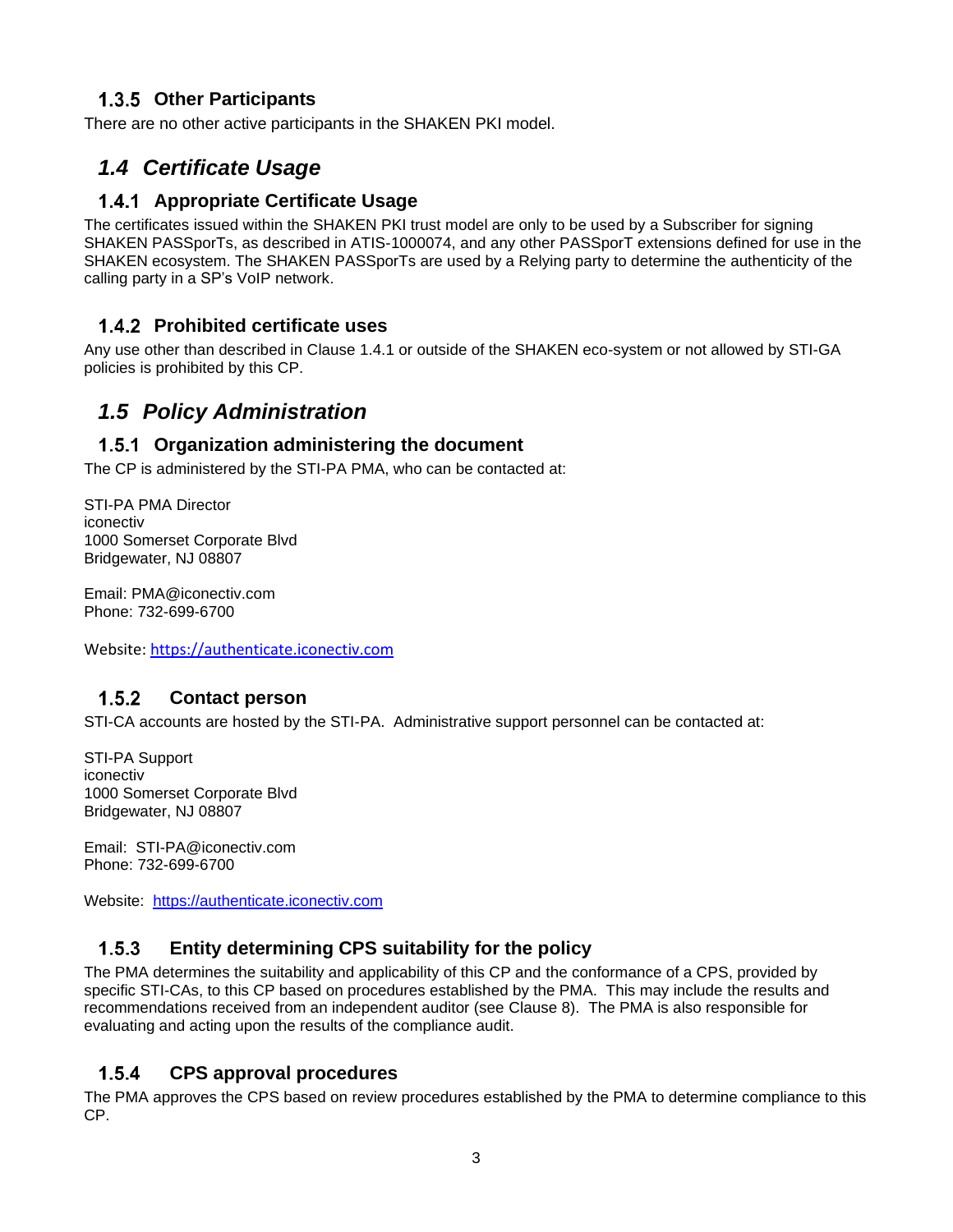#### **Other Participants**

There are no other active participants in the SHAKEN PKI model.

# *1.4 Certificate Usage*

#### **1.4.1 Appropriate Certificate Usage**

The certificates issued within the SHAKEN PKI trust model are only to be used by a Subscriber for signing SHAKEN PASSporTs, as described in ATIS-1000074, and any other PASSporT extensions defined for use in the SHAKEN ecosystem. The SHAKEN PASSporTs are used by a Relying party to determine the authenticity of the calling party in a SP's VoIP network.

#### **Prohibited certificate uses**

Any use other than described in Clause 1.4.1 or outside of the SHAKEN eco-system or not allowed by STI-GA policies is prohibited by this CP.

# *1.5 Policy Administration*

#### **Organization administering the document**

The CP is administered by the STI-PA PMA, who can be contacted at:

STI-PA PMA Director iconectiv 1000 Somerset Corporate Blvd Bridgewater, NJ 08807

Email: PMA@iconectiv.com Phone: 732-699-6700

Website[: https://authenticate.iconectiv.com](https://authenticate.iconectiv.com/)

#### $1.5.2$  **Contact person**

STI-CA accounts are hosted by the STI-PA. Administrative support personnel can be contacted at:

STI-PA Support iconectiv 1000 Somerset Corporate Blvd Bridgewater, NJ 08807

Email: STI-PA@iconectiv.com Phone: 732-699-6700

Website: [https://authenticate.iconectiv.com](https://authenticate.iconectiv.com/)

#### $1.5.3$  **Entity determining CPS suitability for the policy**

The PMA determines the suitability and applicability of this CP and the conformance of a CPS, provided by specific STI-CAs, to this CP based on procedures established by the PMA. This may include the results and recommendations received from an independent auditor (see Clause 8). The PMA is also responsible for evaluating and acting upon the results of the compliance audit.

#### $1.5.4$  **CPS approval procedures**

The PMA approves the CPS based on review procedures established by the PMA to determine compliance to this CP.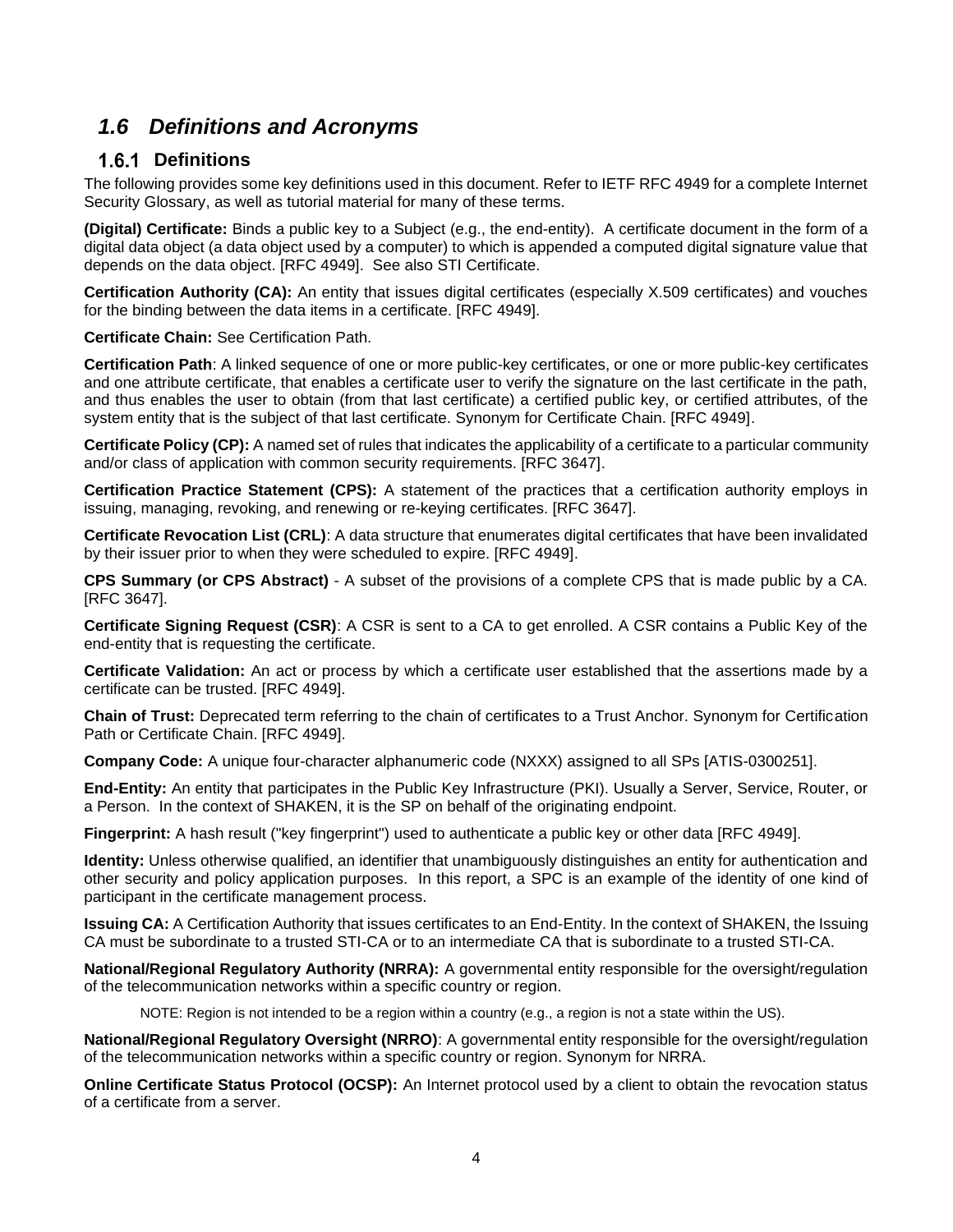# *1.6 Definitions and Acronyms*

### 1.6.1 Definitions

The following provides some key definitions used in this document. Refer to IETF RFC 4949 for a complete Internet Security Glossary, as well as tutorial material for many of these terms.

**(Digital) Certificate:** Binds a public key to a Subject (e.g., the end-entity). A certificate document in the form of a digital data object (a data object used by a computer) to which is appended a computed digital signature value that depends on the data object. [RFC 4949]. See also STI Certificate.

**Certification Authority (CA):** An entity that issues digital certificates (especially X.509 certificates) and vouches for the binding between the data items in a certificate. [RFC 4949].

**Certificate Chain:** See Certification Path.

**Certification Path**: A linked sequence of one or more public-key certificates, or one or more public-key certificates and one attribute certificate, that enables a certificate user to verify the signature on the last certificate in the path, and thus enables the user to obtain (from that last certificate) a certified public key, or certified attributes, of the system entity that is the subject of that last certificate. Synonym for Certificate Chain. [RFC 4949].

**Certificate Policy (CP):** A named set of rules that indicates the applicability of a certificate to a particular community and/or class of application with common security requirements. [RFC 3647].

**Certification Practice Statement (CPS):** A statement of the practices that a certification authority employs in issuing, managing, revoking, and renewing or re-keying certificates. [RFC 3647].

**Certificate Revocation List (CRL)**: A data structure that enumerates digital certificates that have been invalidated by their issuer prior to when they were scheduled to expire. [RFC 4949].

**CPS Summary (or CPS Abstract)** - A subset of the provisions of a complete CPS that is made public by a CA. [RFC 3647].

**Certificate Signing Request (CSR)**: A CSR is sent to a CA to get enrolled. A CSR contains a Public Key of the end-entity that is requesting the certificate.

**Certificate Validation:** An act or process by which a certificate user established that the assertions made by a certificate can be trusted. [RFC 4949].

**Chain of Trust:** Deprecated term referring to the chain of certificates to a Trust Anchor. Synonym for Certification Path or Certificate Chain. [RFC 4949].

**Company Code:** A unique four-character alphanumeric code (NXXX) assigned to all SPs [ATIS-0300251].

**End-Entity:** An entity that participates in the Public Key Infrastructure (PKI). Usually a Server, Service, Router, or a Person. In the context of SHAKEN, it is the SP on behalf of the originating endpoint.

**Fingerprint:** A hash result ("key fingerprint") used to authenticate a public key or other data [RFC 4949].

**Identity:** Unless otherwise qualified, an identifier that unambiguously distinguishes an entity for authentication and other security and policy application purposes. In this report, a SPC is an example of the identity of one kind of participant in the certificate management process.

**Issuing CA:** A Certification Authority that issues certificates to an End-Entity. In the context of SHAKEN, the Issuing CA must be subordinate to a trusted STI-CA or to an intermediate CA that is subordinate to a trusted STI-CA.

**National/Regional Regulatory Authority (NRRA):** A governmental entity responsible for the oversight/regulation of the telecommunication networks within a specific country or region.

NOTE: Region is not intended to be a region within a country (e.g., a region is not a state within the US).

**National/Regional Regulatory Oversight (NRRO)**: A governmental entity responsible for the oversight/regulation of the telecommunication networks within a specific country or region. Synonym for NRRA.

**Online Certificate Status Protocol (OCSP):** An Internet protocol used by a client to obtain the revocation status of a certificate from a server.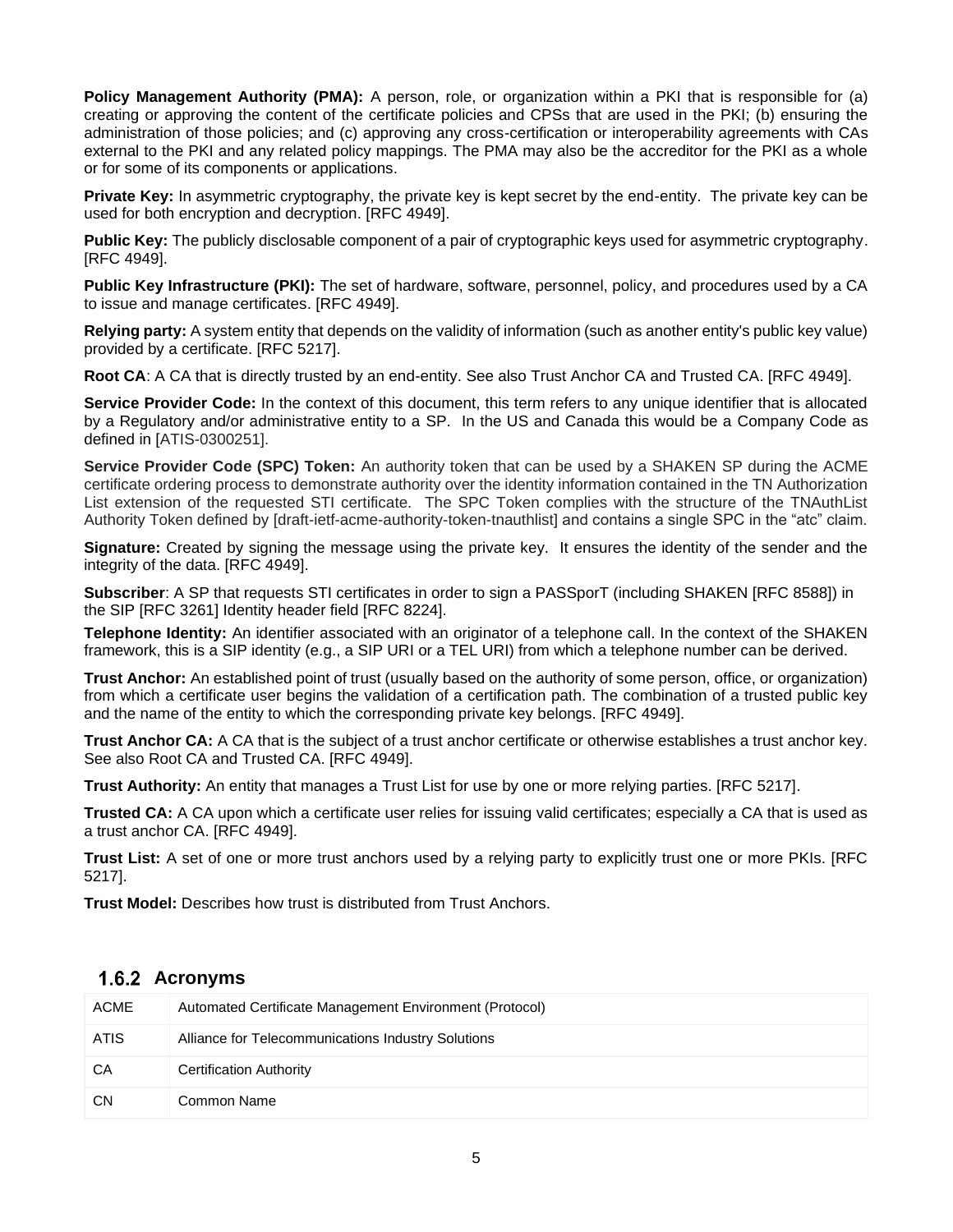**Policy Management Authority (PMA):** A person, role, or organization within a PKI that is responsible for (a) creating or approving the content of the certificate policies and CPSs that are used in the PKI; (b) ensuring the administration of those policies; and (c) approving any cross-certification or interoperability agreements with CAs external to the PKI and any related policy mappings. The PMA may also be the accreditor for the PKI as a whole or for some of its components or applications.

**Private Key:** In asymmetric cryptography, the private key is kept secret by the end-entity. The private key can be used for both encryption and decryption. [RFC 4949].

**Public Key:** The publicly disclosable component of a pair of cryptographic keys used for asymmetric cryptography. [RFC 4949].

**Public Key Infrastructure (PKI):** The set of hardware, software, personnel, policy, and procedures used by a CA to issue and manage certificates. [RFC 4949].

**Relying party:** A system entity that depends on the validity of information (such as another entity's public key value) provided by a certificate. [RFC 5217].

**Root CA**: A CA that is directly trusted by an end-entity. See also Trust Anchor CA and Trusted CA. [RFC 4949].

**Service Provider Code:** In the context of this document, this term refers to any unique identifier that is allocated by a Regulatory and/or administrative entity to a SP. In the US and Canada this would be a Company Code as defined in [ATIS-0300251].

**Service Provider Code (SPC) Token:** An authority token that can be used by a SHAKEN SP during the ACME certificate ordering process to demonstrate authority over the identity information contained in the TN Authorization List extension of the requested STI certificate. The SPC Token complies with the structure of the TNAuthList Authority Token defined by [draft-ietf-acme-authority-token-tnauthlist] and contains a single SPC in the "atc" claim.

**Signature:** Created by signing the message using the private key. It ensures the identity of the sender and the integrity of the data. [RFC 4949].

**Subscriber**: A SP that requests STI certificates in order to sign a PASSporT (including SHAKEN [RFC 8588]) in the SIP [RFC 3261] Identity header field [RFC 8224].

**Telephone Identity:** An identifier associated with an originator of a telephone call. In the context of the SHAKEN framework, this is a SIP identity (e.g., a SIP URI or a TEL URI) from which a telephone number can be derived.

**Trust Anchor:** An established point of trust (usually based on the authority of some person, office, or organization) from which a certificate user begins the validation of a certification path. The combination of a trusted public key and the name of the entity to which the corresponding private key belongs. [RFC 4949].

**Trust Anchor CA:** A CA that is the subject of a trust anchor certificate or otherwise establishes a trust anchor key. See also Root CA and Trusted CA. [RFC 4949].

**Trust Authority:** An entity that manages a Trust List for use by one or more relying parties. [RFC 5217].

**Trusted CA:** A CA upon which a certificate user relies for issuing valid certificates; especially a CA that is used as a trust anchor CA. [RFC 4949].

**Trust List:** A set of one or more trust anchors used by a relying party to explicitly trust one or more PKIs. [RFC 5217].

**Trust Model:** Describes how trust is distributed from Trust Anchors.

#### **Acronyms**

| <b>ACME</b> | Automated Certificate Management Environment (Protocol) |
|-------------|---------------------------------------------------------|
| ATIS        | Alliance for Telecommunications Industry Solutions      |
| CA          | <b>Certification Authority</b>                          |
| <b>CN</b>   | Common Name                                             |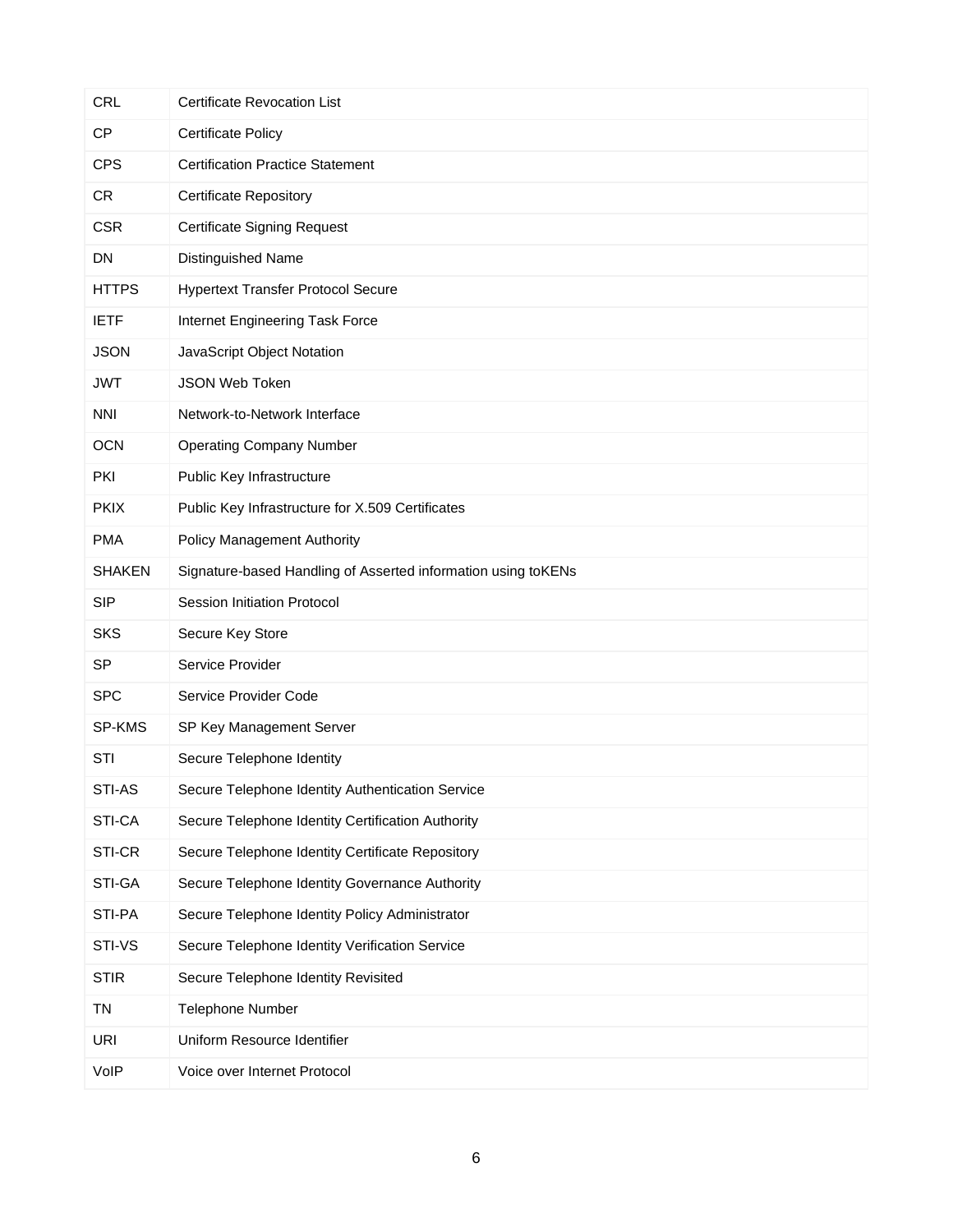| <b>CRL</b>    | <b>Certificate Revocation List</b>                            |
|---------------|---------------------------------------------------------------|
| <b>CP</b>     | <b>Certificate Policy</b>                                     |
| <b>CPS</b>    | <b>Certification Practice Statement</b>                       |
| <b>CR</b>     | <b>Certificate Repository</b>                                 |
| <b>CSR</b>    | <b>Certificate Signing Request</b>                            |
| DN            | Distinguished Name                                            |
| <b>HTTPS</b>  | <b>Hypertext Transfer Protocol Secure</b>                     |
| <b>IETF</b>   | Internet Engineering Task Force                               |
| <b>JSON</b>   | JavaScript Object Notation                                    |
| <b>JWT</b>    | JSON Web Token                                                |
| <b>NNI</b>    | Network-to-Network Interface                                  |
| <b>OCN</b>    | <b>Operating Company Number</b>                               |
| PKI           | Public Key Infrastructure                                     |
| <b>PKIX</b>   | Public Key Infrastructure for X.509 Certificates              |
| <b>PMA</b>    | <b>Policy Management Authority</b>                            |
| <b>SHAKEN</b> | Signature-based Handling of Asserted information using toKENs |
| <b>SIP</b>    | Session Initiation Protocol                                   |
| <b>SKS</b>    | Secure Key Store                                              |
| <b>SP</b>     | Service Provider                                              |
| <b>SPC</b>    | Service Provider Code                                         |
| SP-KMS        | SP Key Management Server                                      |
| <b>STI</b>    | Secure Telephone Identity                                     |
| STI-AS        | Secure Telephone Identity Authentication Service              |
| STI-CA        | Secure Telephone Identity Certification Authority             |
| STI-CR        | Secure Telephone Identity Certificate Repository              |
| STI-GA        | Secure Telephone Identity Governance Authority                |
| STI-PA        | Secure Telephone Identity Policy Administrator                |
| STI-VS        | Secure Telephone Identity Verification Service                |
| <b>STIR</b>   | Secure Telephone Identity Revisited                           |
| <b>TN</b>     | Telephone Number                                              |
| <b>URI</b>    | Uniform Resource Identifier                                   |
| VoIP          | Voice over Internet Protocol                                  |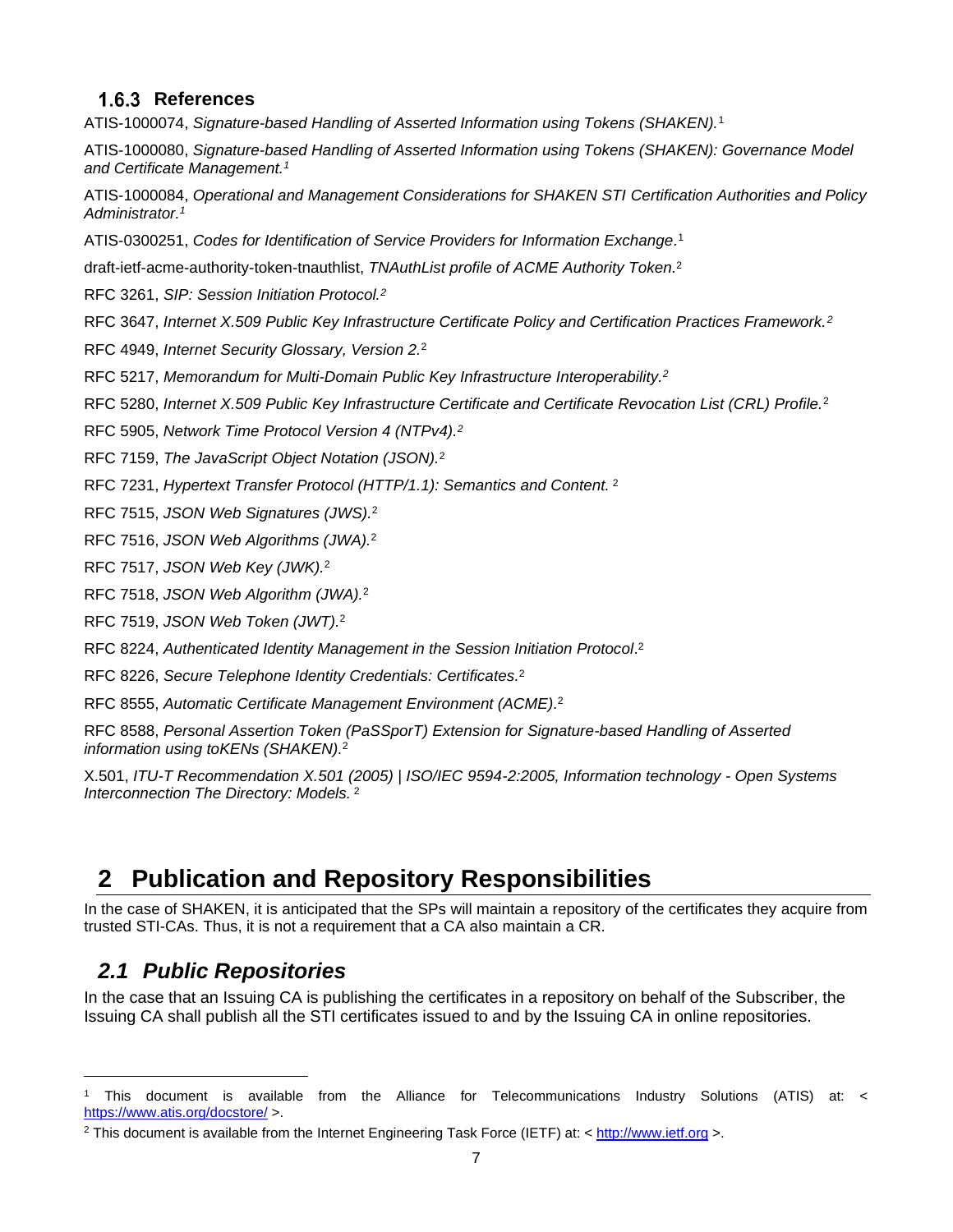#### 1.6.3 References

ATIS-1000074, *Signature-based Handling of Asserted Information using Tokens (SHAKEN).*<sup>1</sup>

ATIS-1000080, *Signature-based Handling of Asserted Information using Tokens (SHAKEN): Governance Model and Certificate Management.<sup>1</sup>*

ATIS-1000084, *Operational and Management Considerations for SHAKEN STI Certification Authorities and Policy Administrator. 1*

ATIS-0300251, *Codes for Identification of Service Providers for Information Exchange.* 1

draft-ietf-acme-authority-token-tnauthlist, *TNAuthList profile of ACME Authority Token.* 2

RFC 3261, *SIP: Session Initiation Protocol.<sup>2</sup>*

RFC 3647, *Internet X.509 Public Key Infrastructure Certificate Policy and Certification Practices Framework.<sup>2</sup>*

RFC 4949, *Internet Security Glossary, Version 2.*<sup>2</sup>

RFC 5217, *Memorandum for Multi-Domain Public Key Infrastructure Interoperability. 2*

RFC 5280, *Internet X.509 Public Key Infrastructure Certificate and Certificate Revocation List (CRL) Profile.*<sup>2</sup>

RFC 5905, *Network Time Protocol Version 4 (NTPv4).<sup>2</sup>*

RFC 7159, *The JavaScript Object Notation (JSON).*<sup>2</sup>

RFC 7231, *Hypertext Transfer Protocol (HTTP/1.1): Semantics and Content.* <sup>2</sup>

RFC 7515, *JSON Web Signatures (JWS).*<sup>2</sup>

RFC 7516, *JSON Web Algorithms (JWA).*<sup>2</sup>

RFC 7517, *JSON Web Key (JWK).*<sup>2</sup>

RFC 7518, *JSON Web Algorithm (JWA).*<sup>2</sup>

RFC 7519, *JSON Web Token (JWT).*<sup>2</sup>

RFC 8224, *Authenticated Identity Management in the Session Initiation Protocol*. 2

RFC 8226, *Secure Telephone Identity Credentials: Certificates.* 2

RFC 8555, *Automatic Certificate Management Environment (ACME).* 2

RFC 8588, *Personal Assertion Token (PaSSporT) Extension for Signature-based Handling of Asserted information using toKENs (SHAKEN).* 2

X.501, *ITU-T Recommendation X.501 (2005) | ISO/IEC 9594-2:2005, Information technology - Open Systems Interconnection The Directory: Models.* <sup>2</sup>

# **2 Publication and Repository Responsibilities**

In the case of SHAKEN, it is anticipated that the SPs will maintain a repository of the certificates they acquire from trusted STI-CAs. Thus, it is not a requirement that a CA also maintain a CR.

#### *2.1 Public Repositories*

In the case that an Issuing CA is publishing the certificates in a repository on behalf of the Subscriber, the Issuing CA shall publish all the STI certificates issued to and by the Issuing CA in online repositories.

<sup>1</sup> This document is available from the Alliance for Telecommunications Industry Solutions (ATIS) at: < <https://www.atis.org/docstore/> >.

<sup>2</sup> This document is available from the Internet Engineering Task Force (IETF) at: < [http://www.ietf.org](http://www.ietf.org/) >.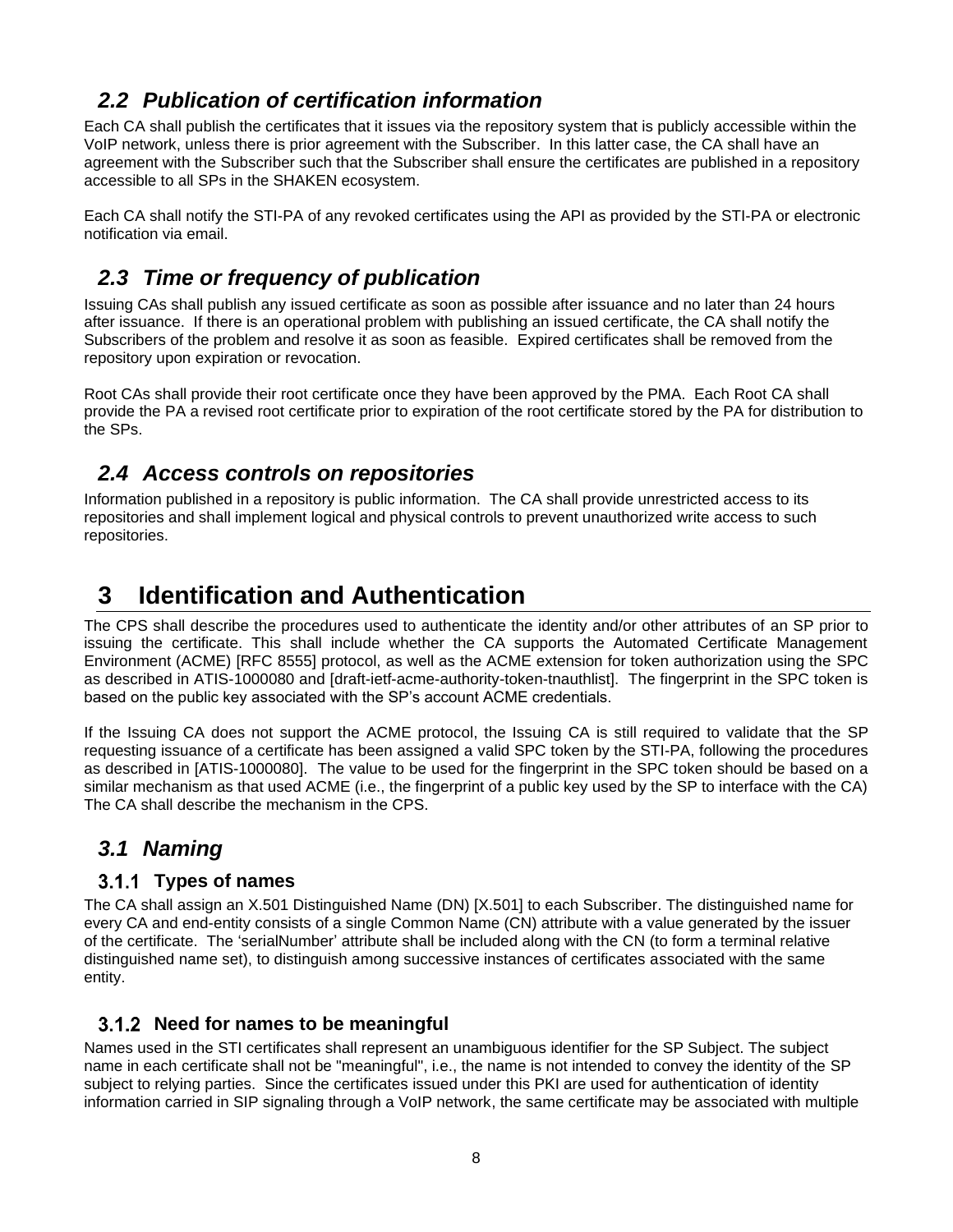# *2.2 Publication of certification information*

Each CA shall publish the certificates that it issues via the repository system that is publicly accessible within the VoIP network, unless there is prior agreement with the Subscriber. In this latter case, the CA shall have an agreement with the Subscriber such that the Subscriber shall ensure the certificates are published in a repository accessible to all SPs in the SHAKEN ecosystem.

Each CA shall notify the STI-PA of any revoked certificates using the API as provided by the STI-PA or electronic notification via email.

# *2.3 Time or frequency of publication*

Issuing CAs shall publish any issued certificate as soon as possible after issuance and no later than 24 hours after issuance. If there is an operational problem with publishing an issued certificate, the CA shall notify the Subscribers of the problem and resolve it as soon as feasible. Expired certificates shall be removed from the repository upon expiration or revocation.

Root CAs shall provide their root certificate once they have been approved by the PMA. Each Root CA shall provide the PA a revised root certificate prior to expiration of the root certificate stored by the PA for distribution to the SPs.

# *2.4 Access controls on repositories*

Information published in a repository is public information. The CA shall provide unrestricted access to its repositories and shall implement logical and physical controls to prevent unauthorized write access to such repositories.

# **3 Identification and Authentication**

The CPS shall describe the procedures used to authenticate the identity and/or other attributes of an SP prior to issuing the certificate. This shall include whether the CA supports the Automated Certificate Management Environment (ACME) [RFC 8555] protocol, as well as the ACME extension for token authorization using the SPC as described in ATIS-1000080 and [draft-ietf-acme-authority-token-tnauthlist]. The fingerprint in the SPC token is based on the public key associated with the SP's account ACME credentials.

If the Issuing CA does not support the ACME protocol, the Issuing CA is still required to validate that the SP requesting issuance of a certificate has been assigned a valid SPC token by the STI-PA, following the procedures as described in [ATIS-1000080]. The value to be used for the fingerprint in the SPC token should be based on a similar mechanism as that used ACME (i.e., the fingerprint of a public key used by the SP to interface with the CA) The CA shall describe the mechanism in the CPS.

# *3.1 Naming*

#### **Types of names**

The CA shall assign an X.501 Distinguished Name (DN) [X.501] to each Subscriber. The distinguished name for every CA and end-entity consists of a single Common Name (CN) attribute with a value generated by the issuer of the certificate. The 'serialNumber' attribute shall be included along with the CN (to form a terminal relative distinguished name set), to distinguish among successive instances of certificates associated with the same entity.

#### **Need for names to be meaningful**

Names used in the STI certificates shall represent an unambiguous identifier for the SP Subject. The subject name in each certificate shall not be "meaningful", i.e., the name is not intended to convey the identity of the SP subject to relying parties. Since the certificates issued under this PKI are used for authentication of identity information carried in SIP signaling through a VoIP network, the same certificate may be associated with multiple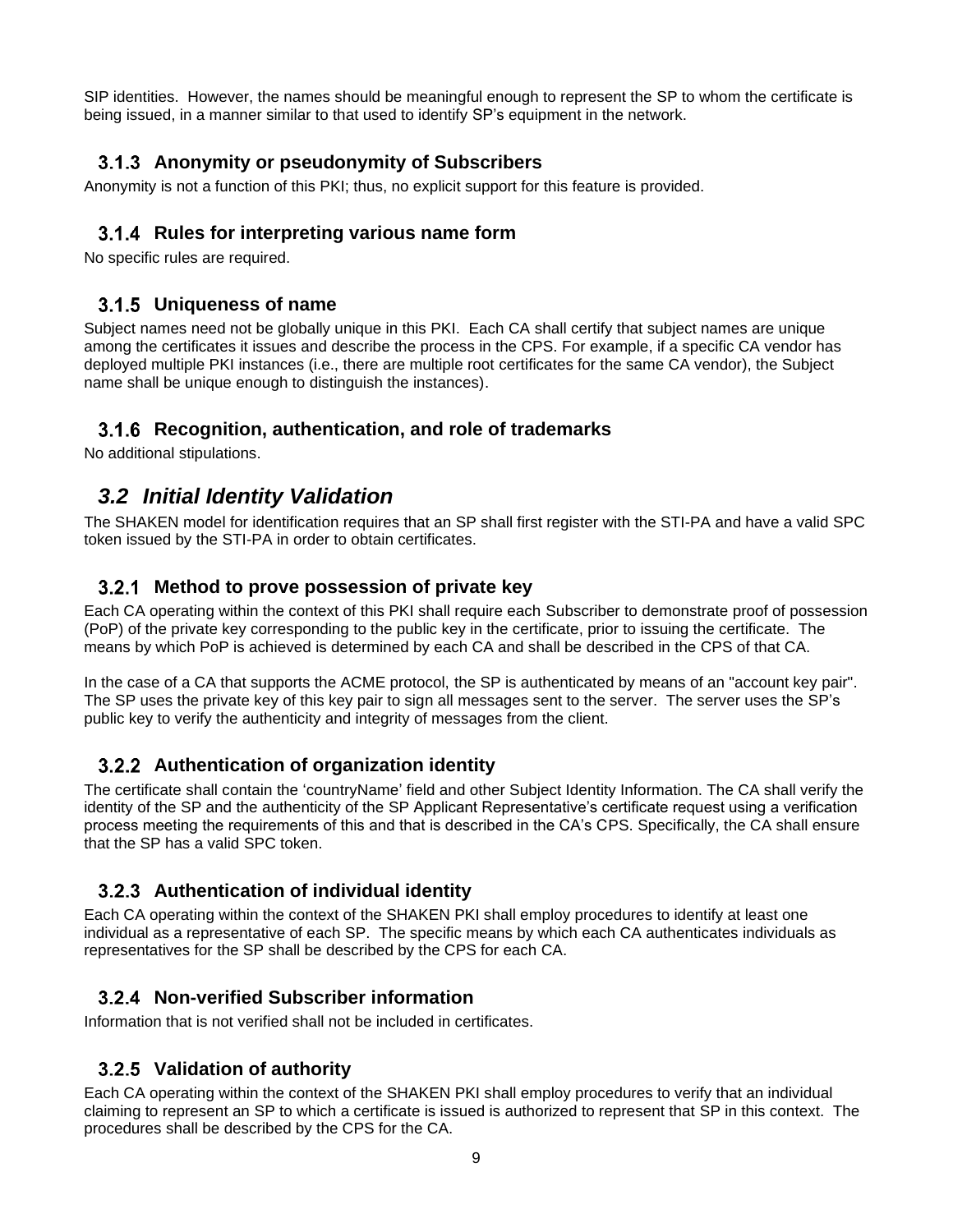SIP identities. However, the names should be meaningful enough to represent the SP to whom the certificate is being issued, in a manner similar to that used to identify SP's equipment in the network.

#### **Anonymity or pseudonymity of Subscribers**

Anonymity is not a function of this PKI; thus, no explicit support for this feature is provided.

#### **Rules for interpreting various name form**

No specific rules are required.

#### **Uniqueness of name**

Subject names need not be globally unique in this PKI. Each CA shall certify that subject names are unique among the certificates it issues and describe the process in the CPS. For example, if a specific CA vendor has deployed multiple PKI instances (i.e., there are multiple root certificates for the same CA vendor), the Subject name shall be unique enough to distinguish the instances).

#### **Recognition, authentication, and role of trademarks**

No additional stipulations.

# *3.2 Initial Identity Validation*

The SHAKEN model for identification requires that an SP shall first register with the STI-PA and have a valid SPC token issued by the STI-PA in order to obtain certificates.

#### **Method to prove possession of private key**

Each CA operating within the context of this PKI shall require each Subscriber to demonstrate proof of possession (PoP) of the private key corresponding to the public key in the certificate, prior to issuing the certificate. The means by which PoP is achieved is determined by each CA and shall be described in the CPS of that CA.

In the case of a CA that supports the ACME protocol, the SP is authenticated by means of an "account key pair". The SP uses the private key of this key pair to sign all messages sent to the server. The server uses the SP's public key to verify the authenticity and integrity of messages from the client.

#### **Authentication of organization identity**

The certificate shall contain the 'countryName' field and other Subject Identity Information. The CA shall verify the identity of the SP and the authenticity of the SP Applicant Representative's certificate request using a verification process meeting the requirements of this and that is described in the CA's CPS. Specifically, the CA shall ensure that the SP has a valid SPC token.

#### **Authentication of individual identity**

Each CA operating within the context of the SHAKEN PKI shall employ procedures to identify at least one individual as a representative of each SP. The specific means by which each CA authenticates individuals as representatives for the SP shall be described by the CPS for each CA.

#### **Non-verified Subscriber information**

Information that is not verified shall not be included in certificates.

#### **Validation of authority**

Each CA operating within the context of the SHAKEN PKI shall employ procedures to verify that an individual claiming to represent an SP to which a certificate is issued is authorized to represent that SP in this context. The procedures shall be described by the CPS for the CA.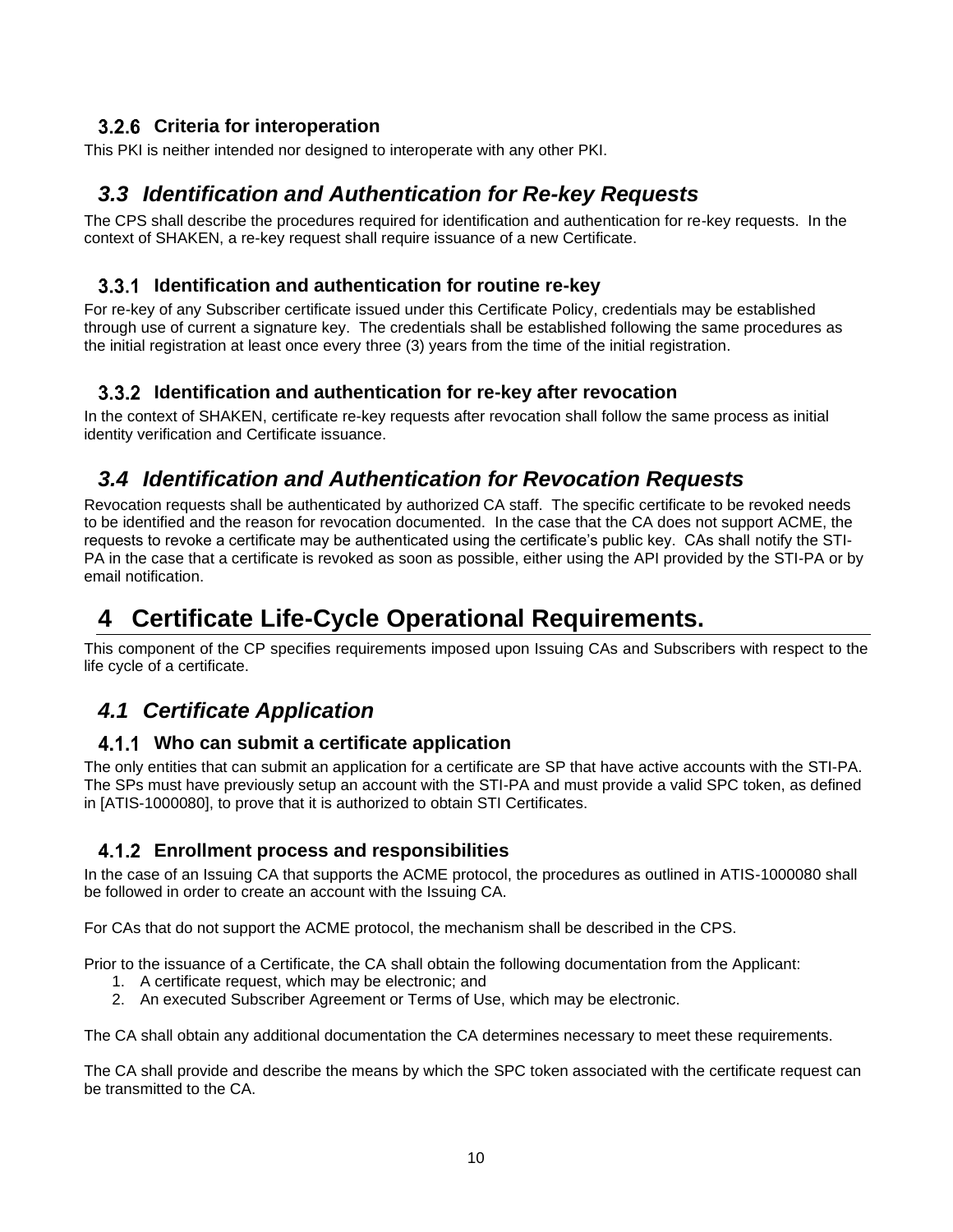#### **Criteria for interoperation**

This PKI is neither intended nor designed to interoperate with any other PKI.

# *3.3 Identification and Authentication for Re-key Requests*

The CPS shall describe the procedures required for identification and authentication for re-key requests. In the context of SHAKEN, a re-key request shall require issuance of a new Certificate.

#### **Identification and authentication for routine re-key**

For re-key of any Subscriber certificate issued under this Certificate Policy, credentials may be established through use of current a signature key. The credentials shall be established following the same procedures as the initial registration at least once every three (3) years from the time of the initial registration.

#### **Identification and authentication for re-key after revocation**

In the context of SHAKEN, certificate re-key requests after revocation shall follow the same process as initial identity verification and Certificate issuance.

# *3.4 Identification and Authentication for Revocation Requests*

Revocation requests shall be authenticated by authorized CA staff. The specific certificate to be revoked needs to be identified and the reason for revocation documented. In the case that the CA does not support ACME, the requests to revoke a certificate may be authenticated using the certificate's public key. CAs shall notify the STI-PA in the case that a certificate is revoked as soon as possible, either using the API provided by the STI-PA or by email notification.

# **4 Certificate Life-Cycle Operational Requirements.**

This component of the CP specifies requirements imposed upon Issuing CAs and Subscribers with respect to the life cycle of a certificate.

# *4.1 Certificate Application*

#### **Who can submit a certificate application**

The only entities that can submit an application for a certificate are SP that have active accounts with the STI-PA. The SPs must have previously setup an account with the STI-PA and must provide a valid SPC token, as defined in [ATIS-1000080], to prove that it is authorized to obtain STI Certificates.

#### **Enrollment process and responsibilities**

In the case of an Issuing CA that supports the ACME protocol, the procedures as outlined in ATIS-1000080 shall be followed in order to create an account with the Issuing CA.

For CAs that do not support the ACME protocol, the mechanism shall be described in the CPS.

Prior to the issuance of a Certificate, the CA shall obtain the following documentation from the Applicant:

- 1. A certificate request, which may be electronic; and
- 2. An executed Subscriber Agreement or Terms of Use, which may be electronic.

The CA shall obtain any additional documentation the CA determines necessary to meet these requirements.

The CA shall provide and describe the means by which the SPC token associated with the certificate request can be transmitted to the CA.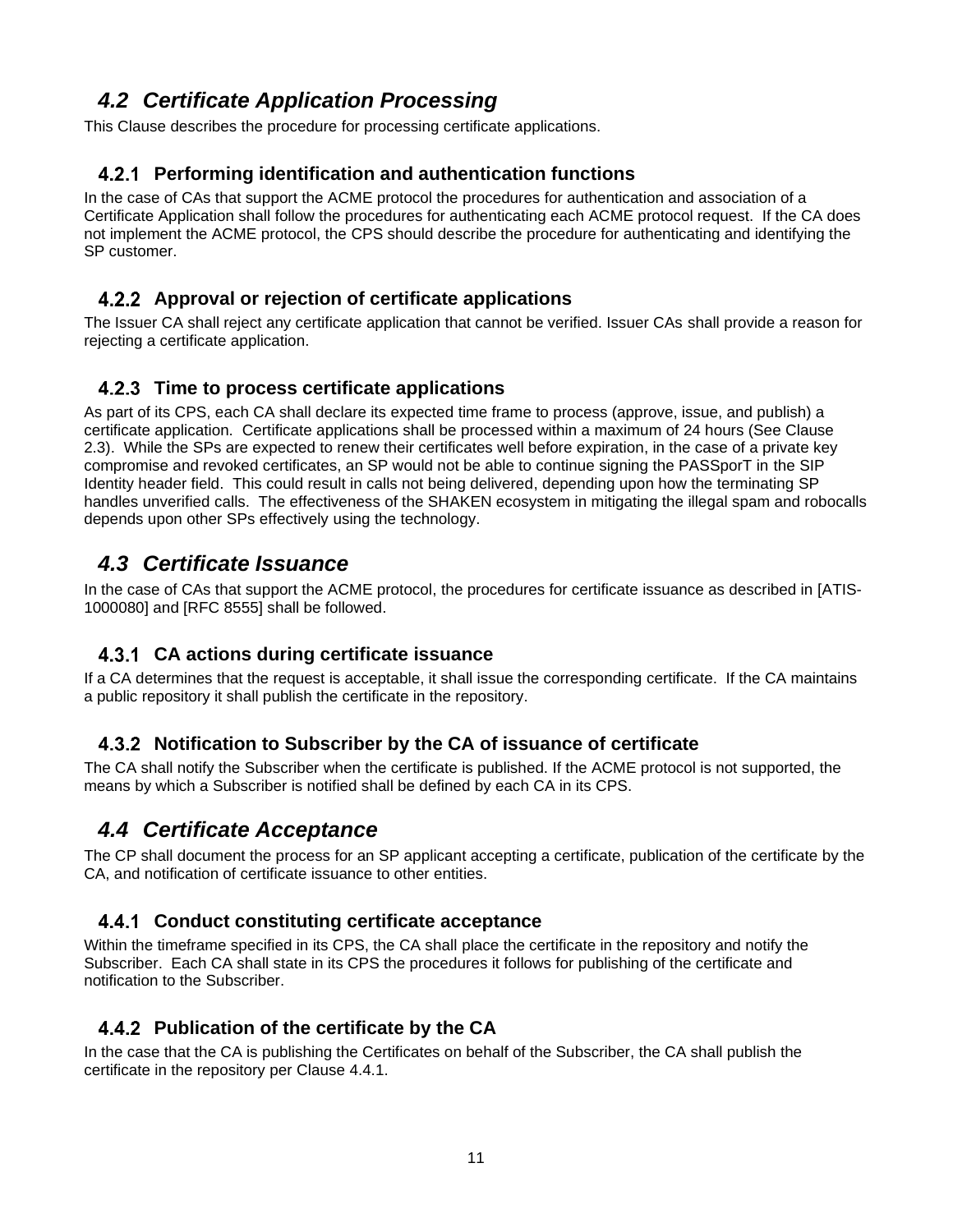# *4.2 Certificate Application Processing*

This Clause describes the procedure for processing certificate applications.

#### **Performing identification and authentication functions**

In the case of CAs that support the ACME protocol the procedures for authentication and association of a Certificate Application shall follow the procedures for authenticating each ACME protocol request. If the CA does not implement the ACME protocol, the CPS should describe the procedure for authenticating and identifying the SP customer.

#### **Approval or rejection of certificate applications**

The Issuer CA shall reject any certificate application that cannot be verified. Issuer CAs shall provide a reason for rejecting a certificate application.

#### **Time to process certificate applications**

As part of its CPS, each CA shall declare its expected time frame to process (approve, issue, and publish) a certificate application. Certificate applications shall be processed within a maximum of 24 hours (See Clause 2.3). While the SPs are expected to renew their certificates well before expiration, in the case of a private key compromise and revoked certificates, an SP would not be able to continue signing the PASSporT in the SIP Identity header field. This could result in calls not being delivered, depending upon how the terminating SP handles unverified calls. The effectiveness of the SHAKEN ecosystem in mitigating the illegal spam and robocalls depends upon other SPs effectively using the technology.

# *4.3 Certificate Issuance*

In the case of CAs that support the ACME protocol, the procedures for certificate issuance as described in [ATIS-1000080] and [RFC 8555] shall be followed.

#### **CA actions during certificate issuance**

If a CA determines that the request is acceptable, it shall issue the corresponding certificate. If the CA maintains a public repository it shall publish the certificate in the repository.

#### **Notification to Subscriber by the CA of issuance of certificate**

The CA shall notify the Subscriber when the certificate is published. If the ACME protocol is not supported, the means by which a Subscriber is notified shall be defined by each CA in its CPS.

# *4.4 Certificate Acceptance*

The CP shall document the process for an SP applicant accepting a certificate, publication of the certificate by the CA, and notification of certificate issuance to other entities.

#### **Conduct constituting certificate acceptance**

Within the timeframe specified in its CPS, the CA shall place the certificate in the repository and notify the Subscriber. Each CA shall state in its CPS the procedures it follows for publishing of the certificate and notification to the Subscriber.

#### **Publication of the certificate by the CA**

In the case that the CA is publishing the Certificates on behalf of the Subscriber, the CA shall publish the certificate in the repository per Clause 4.4.1.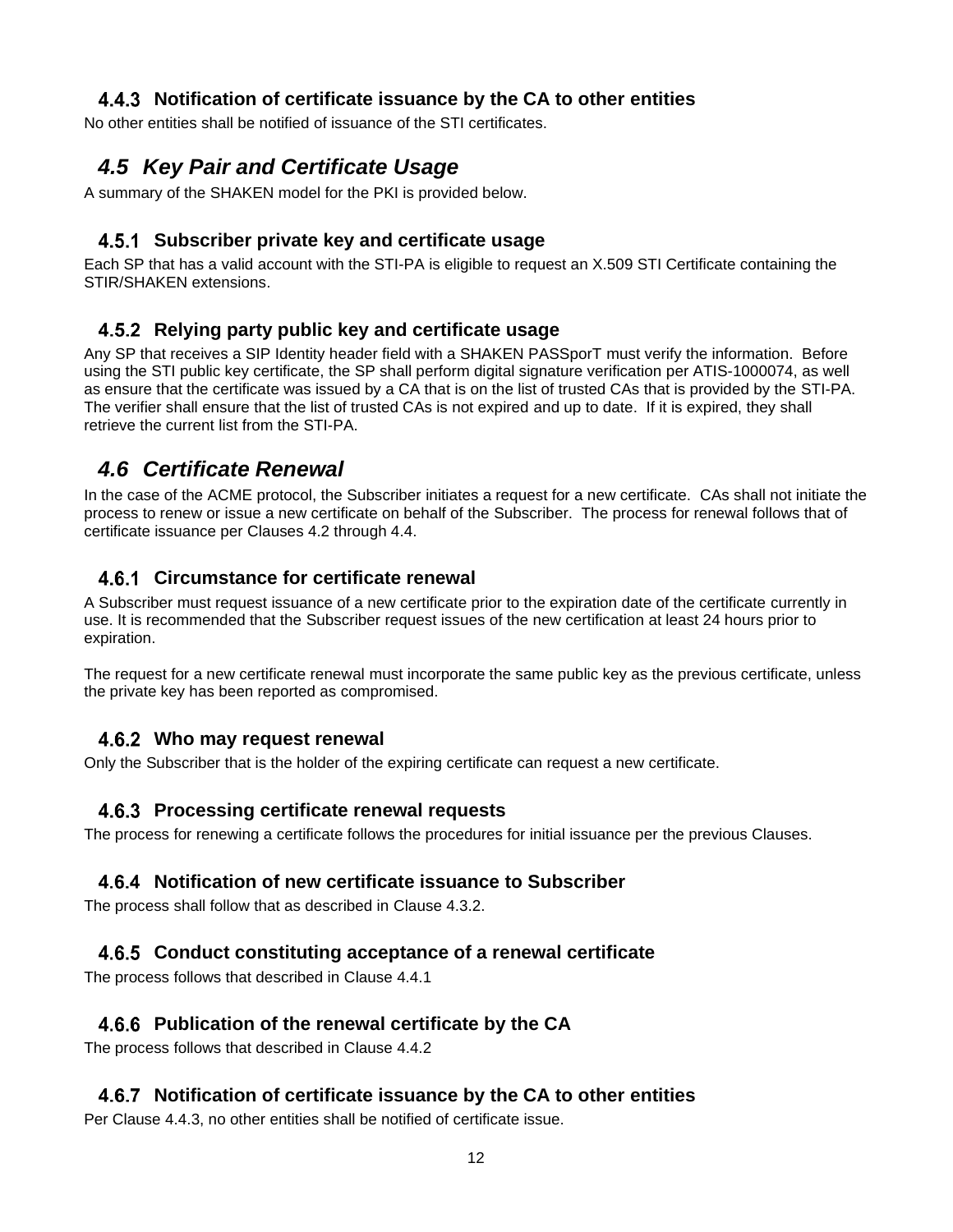#### **Notification of certificate issuance by the CA to other entities**

No other entities shall be notified of issuance of the STI certificates.

# *4.5 Key Pair and Certificate Usage*

A summary of the SHAKEN model for the PKI is provided below.

#### **Subscriber private key and certificate usage**

Each SP that has a valid account with the STI-PA is eligible to request an X.509 STI Certificate containing the STIR/SHAKEN extensions.

#### **Relying party public key and certificate usage**

Any SP that receives a SIP Identity header field with a SHAKEN PASSporT must verify the information. Before using the STI public key certificate, the SP shall perform digital signature verification per ATIS-1000074, as well as ensure that the certificate was issued by a CA that is on the list of trusted CAs that is provided by the STI-PA. The verifier shall ensure that the list of trusted CAs is not expired and up to date. If it is expired, they shall retrieve the current list from the STI-PA.

# *4.6 Certificate Renewal*

In the case of the ACME protocol, the Subscriber initiates a request for a new certificate. CAs shall not initiate the process to renew or issue a new certificate on behalf of the Subscriber. The process for renewal follows that of certificate issuance per Clauses 4.2 through 4.4.

#### **Circumstance for certificate renewal**

A Subscriber must request issuance of a new certificate prior to the expiration date of the certificate currently in use. It is recommended that the Subscriber request issues of the new certification at least 24 hours prior to expiration.

The request for a new certificate renewal must incorporate the same public key as the previous certificate, unless the private key has been reported as compromised.

#### **Who may request renewal**

Only the Subscriber that is the holder of the expiring certificate can request a new certificate.

#### **Processing certificate renewal requests**

The process for renewing a certificate follows the procedures for initial issuance per the previous Clauses.

#### **Notification of new certificate issuance to Subscriber**

The process shall follow that as described in Clause 4.3.2.

#### **Conduct constituting acceptance of a renewal certificate**

The process follows that described in Clause 4.4.1

#### **Publication of the renewal certificate by the CA**

The process follows that described in Clause 4.4.2

#### **Notification of certificate issuance by the CA to other entities**

Per Clause 4.4.3, no other entities shall be notified of certificate issue.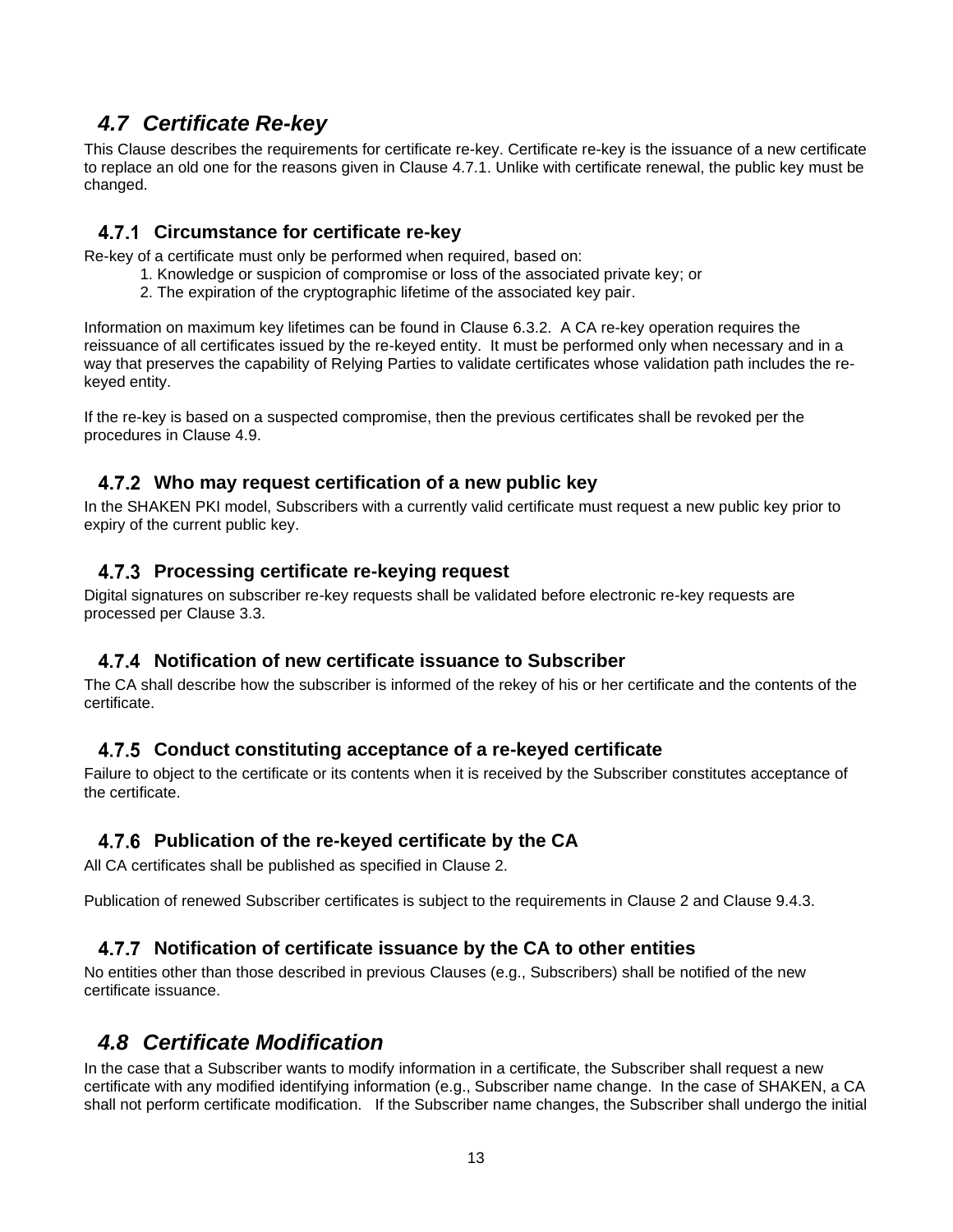# *4.7 Certificate Re-key*

This Clause describes the requirements for certificate re-key. Certificate re-key is the issuance of a new certificate to replace an old one for the reasons given in Clause 4.7.1. Unlike with certificate renewal, the public key must be changed.

#### **Circumstance for certificate re-key**

Re-key of a certificate must only be performed when required, based on:

- 1. Knowledge or suspicion of compromise or loss of the associated private key; or
- 2. The expiration of the cryptographic lifetime of the associated key pair.

Information on maximum key lifetimes can be found in Clause 6.3.2. A CA re-key operation requires the reissuance of all certificates issued by the re-keyed entity. It must be performed only when necessary and in a way that preserves the capability of Relying Parties to validate certificates whose validation path includes the rekeyed entity.

If the re-key is based on a suspected compromise, then the previous certificates shall be revoked per the procedures in Clause 4.9.

#### **Who may request certification of a new public key**

In the SHAKEN PKI model, Subscribers with a currently valid certificate must request a new public key prior to expiry of the current public key.

#### **Processing certificate re-keying request**

Digital signatures on subscriber re-key requests shall be validated before electronic re-key requests are processed per Clause 3.3.

#### **Notification of new certificate issuance to Subscriber**

The CA shall describe how the subscriber is informed of the rekey of his or her certificate and the contents of the certificate.

#### **Conduct constituting acceptance of a re-keyed certificate**

Failure to object to the certificate or its contents when it is received by the Subscriber constitutes acceptance of the certificate.

#### **Publication of the re-keyed certificate by the CA**

All CA certificates shall be published as specified in Clause 2.

Publication of renewed Subscriber certificates is subject to the requirements in Clause 2 and Clause 9.4.3.

#### **Notification of certificate issuance by the CA to other entities**

No entities other than those described in previous Clauses (e.g., Subscribers) shall be notified of the new certificate issuance.

# *4.8 Certificate Modification*

In the case that a Subscriber wants to modify information in a certificate, the Subscriber shall request a new certificate with any modified identifying information (e.g., Subscriber name change. In the case of SHAKEN, a CA shall not perform certificate modification. If the Subscriber name changes, the Subscriber shall undergo the initial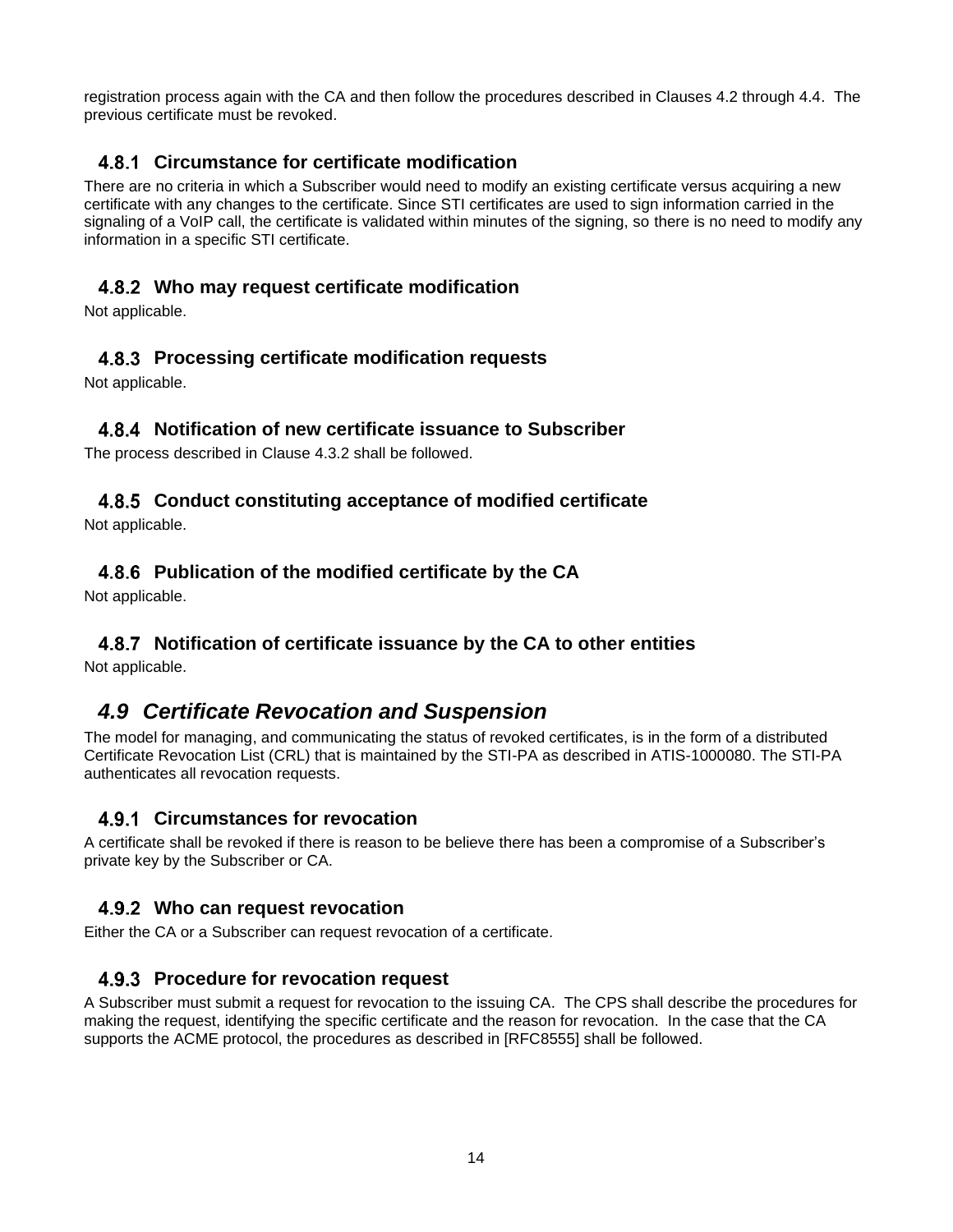registration process again with the CA and then follow the procedures described in Clauses 4.2 through 4.4. The previous certificate must be revoked.

#### **Circumstance for certificate modification**

There are no criteria in which a Subscriber would need to modify an existing certificate versus acquiring a new certificate with any changes to the certificate. Since STI certificates are used to sign information carried in the signaling of a VoIP call, the certificate is validated within minutes of the signing, so there is no need to modify any information in a specific STI certificate.

#### **Who may request certificate modification**

Not applicable.

#### **Processing certificate modification requests**

Not applicable.

#### **Notification of new certificate issuance to Subscriber**

The process described in Clause 4.3.2 shall be followed.

#### **Conduct constituting acceptance of modified certificate**

Not applicable.

#### **Publication of the modified certificate by the CA**

Not applicable.

#### **Notification of certificate issuance by the CA to other entities**

Not applicable.

### *4.9 Certificate Revocation and Suspension*

The model for managing, and communicating the status of revoked certificates, is in the form of a distributed Certificate Revocation List (CRL) that is maintained by the STI-PA as described in ATIS-1000080. The STI-PA authenticates all revocation requests.

#### **Circumstances for revocation**

A certificate shall be revoked if there is reason to be believe there has been a compromise of a Subscriber's private key by the Subscriber or CA.

#### **Who can request revocation**

Either the CA or a Subscriber can request revocation of a certificate.

#### **Procedure for revocation request**

A Subscriber must submit a request for revocation to the issuing CA. The CPS shall describe the procedures for making the request, identifying the specific certificate and the reason for revocation. In the case that the CA supports the ACME protocol, the procedures as described in [RFC8555] shall be followed.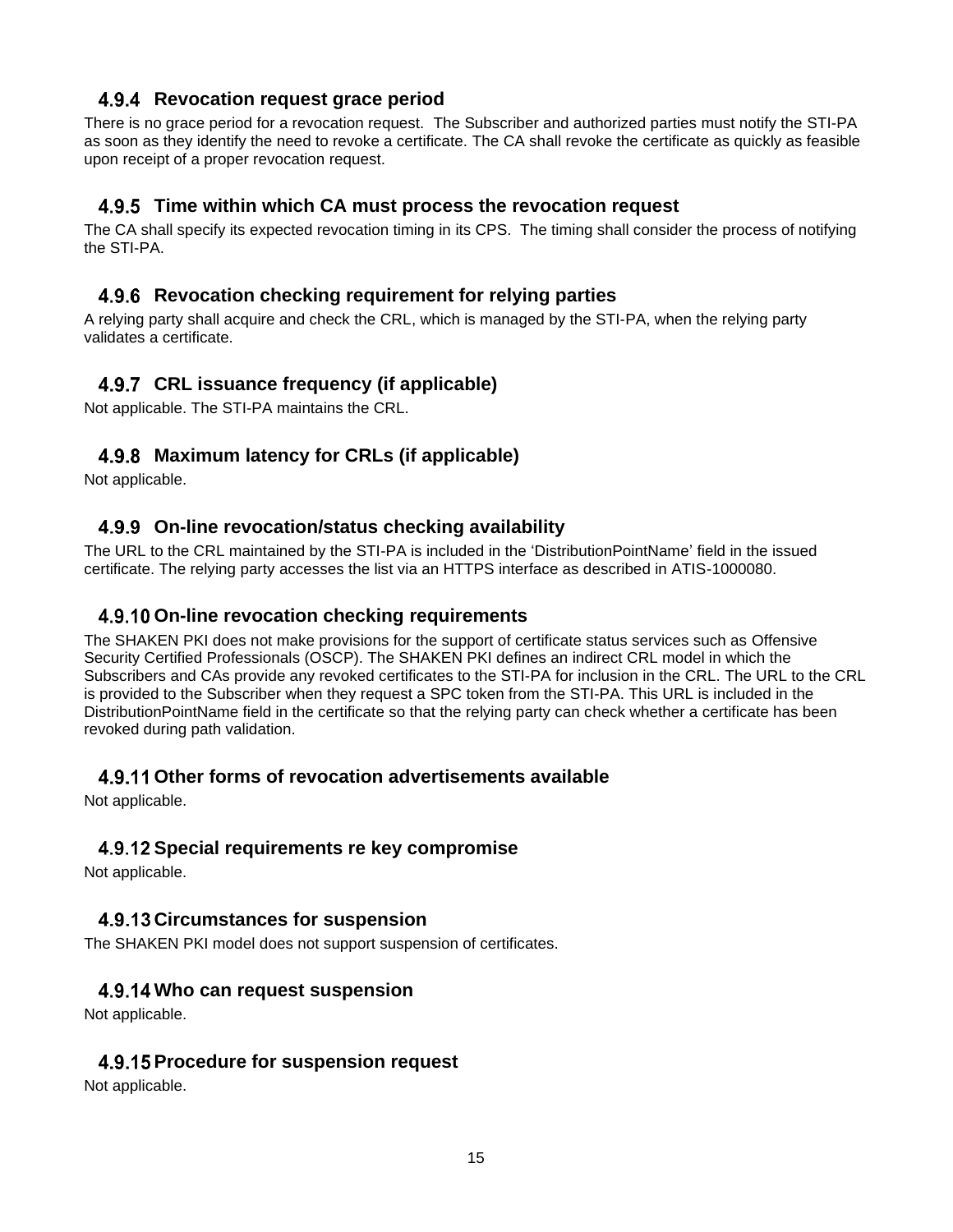#### **Revocation request grace period**

There is no grace period for a revocation request. The Subscriber and authorized parties must notify the STI-PA as soon as they identify the need to revoke a certificate. The CA shall revoke the certificate as quickly as feasible upon receipt of a proper revocation request.

#### **Time within which CA must process the revocation request**

The CA shall specify its expected revocation timing in its CPS. The timing shall consider the process of notifying the STI-PA.

#### **Revocation checking requirement for relying parties**

A relying party shall acquire and check the CRL, which is managed by the STI-PA, when the relying party validates a certificate.

#### **CRL issuance frequency (if applicable)**

Not applicable. The STI-PA maintains the CRL.

#### **Maximum latency for CRLs (if applicable)**

Not applicable.

#### **On-line revocation/status checking availability**

The URL to the CRL maintained by the STI-PA is included in the 'DistributionPointName' field in the issued certificate. The relying party accesses the list via an HTTPS interface as described in ATIS-1000080.

#### **On-line revocation checking requirements**

The SHAKEN PKI does not make provisions for the support of certificate status services such as Offensive Security Certified Professionals (OSCP). The SHAKEN PKI defines an indirect CRL model in which the Subscribers and CAs provide any revoked certificates to the STI-PA for inclusion in the CRL. The URL to the CRL is provided to the Subscriber when they request a SPC token from the STI-PA. This URL is included in the DistributionPointName field in the certificate so that the relying party can check whether a certificate has been revoked during path validation.

#### **Other forms of revocation advertisements available**

Not applicable.

#### **Special requirements re key compromise**

Not applicable.

#### **Circumstances for suspension**

The SHAKEN PKI model does not support suspension of certificates.

#### **Who can request suspension**

Not applicable.

#### **Procedure for suspension request**

Not applicable.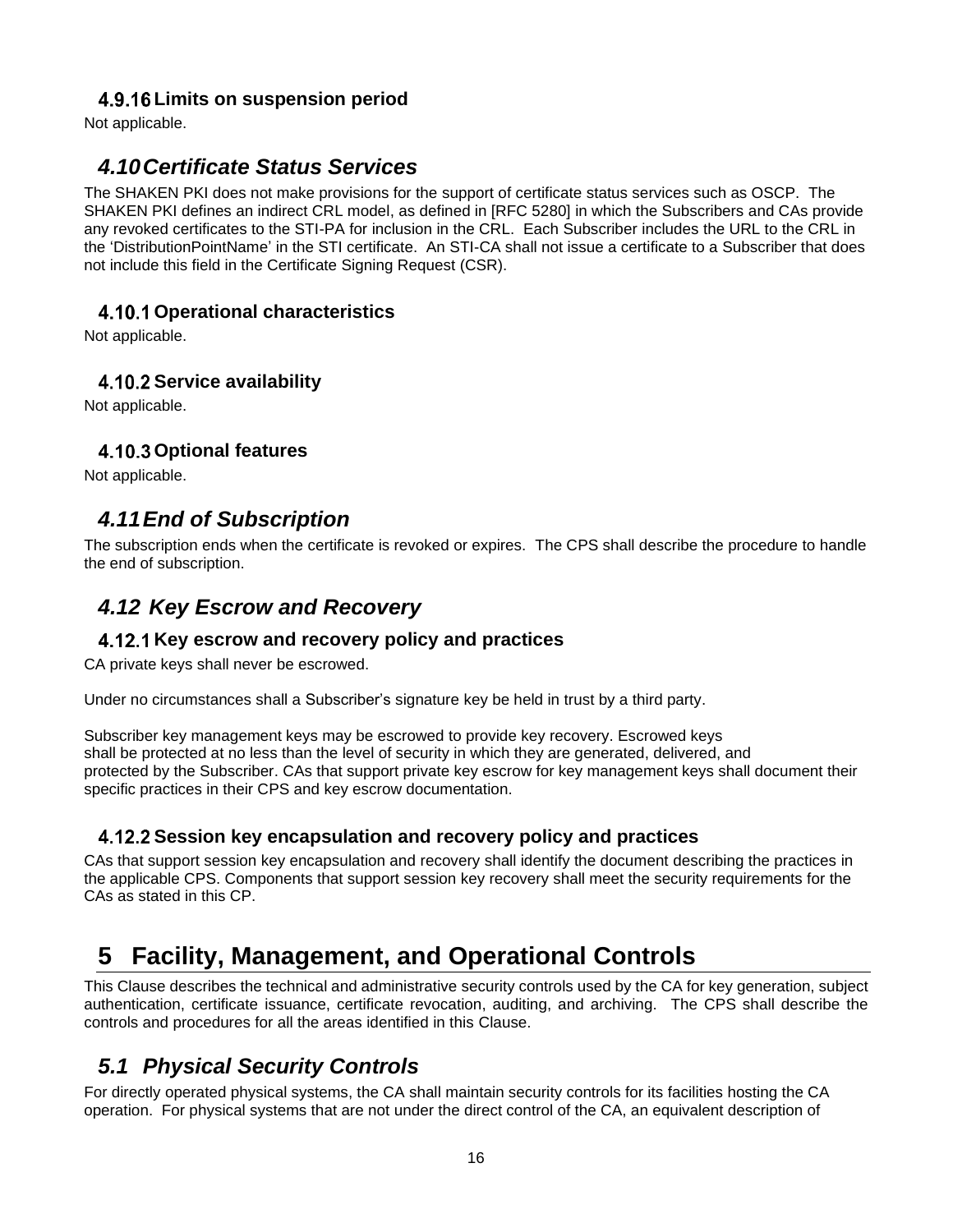#### **Limits on suspension period**

Not applicable.

## *4.10Certificate Status Services*

The SHAKEN PKI does not make provisions for the support of certificate status services such as OSCP. The SHAKEN PKI defines an indirect CRL model, as defined in [RFC 5280] in which the Subscribers and CAs provide any revoked certificates to the STI-PA for inclusion in the CRL. Each Subscriber includes the URL to the CRL in the 'DistributionPointName' in the STI certificate. An STI-CA shall not issue a certificate to a Subscriber that does not include this field in the Certificate Signing Request (CSR).

#### **Operational characteristics**

Not applicable.

#### **Service availability**

Not applicable.

#### **Optional features**

Not applicable.

# *4.11End of Subscription*

The subscription ends when the certificate is revoked or expires. The CPS shall describe the procedure to handle the end of subscription.

# *4.12 Key Escrow and Recovery*

#### **Key escrow and recovery policy and practices**

CA private keys shall never be escrowed.

Under no circumstances shall a Subscriber's signature key be held in trust by a third party.

Subscriber key management keys may be escrowed to provide key recovery. Escrowed keys shall be protected at no less than the level of security in which they are generated, delivered, and protected by the Subscriber. CAs that support private key escrow for key management keys shall document their specific practices in their CPS and key escrow documentation.

#### **Session key encapsulation and recovery policy and practices**

CAs that support session key encapsulation and recovery shall identify the document describing the practices in the applicable CPS. Components that support session key recovery shall meet the security requirements for the CAs as stated in this CP.

# **5 Facility, Management, and Operational Controls**

This Clause describes the technical and administrative security controls used by the CA for key generation, subject authentication, certificate issuance, certificate revocation, auditing, and archiving. The CPS shall describe the controls and procedures for all the areas identified in this Clause.

# *5.1 Physical Security Controls*

For directly operated physical systems, the CA shall maintain security controls for its facilities hosting the CA operation. For physical systems that are not under the direct control of the CA, an equivalent description of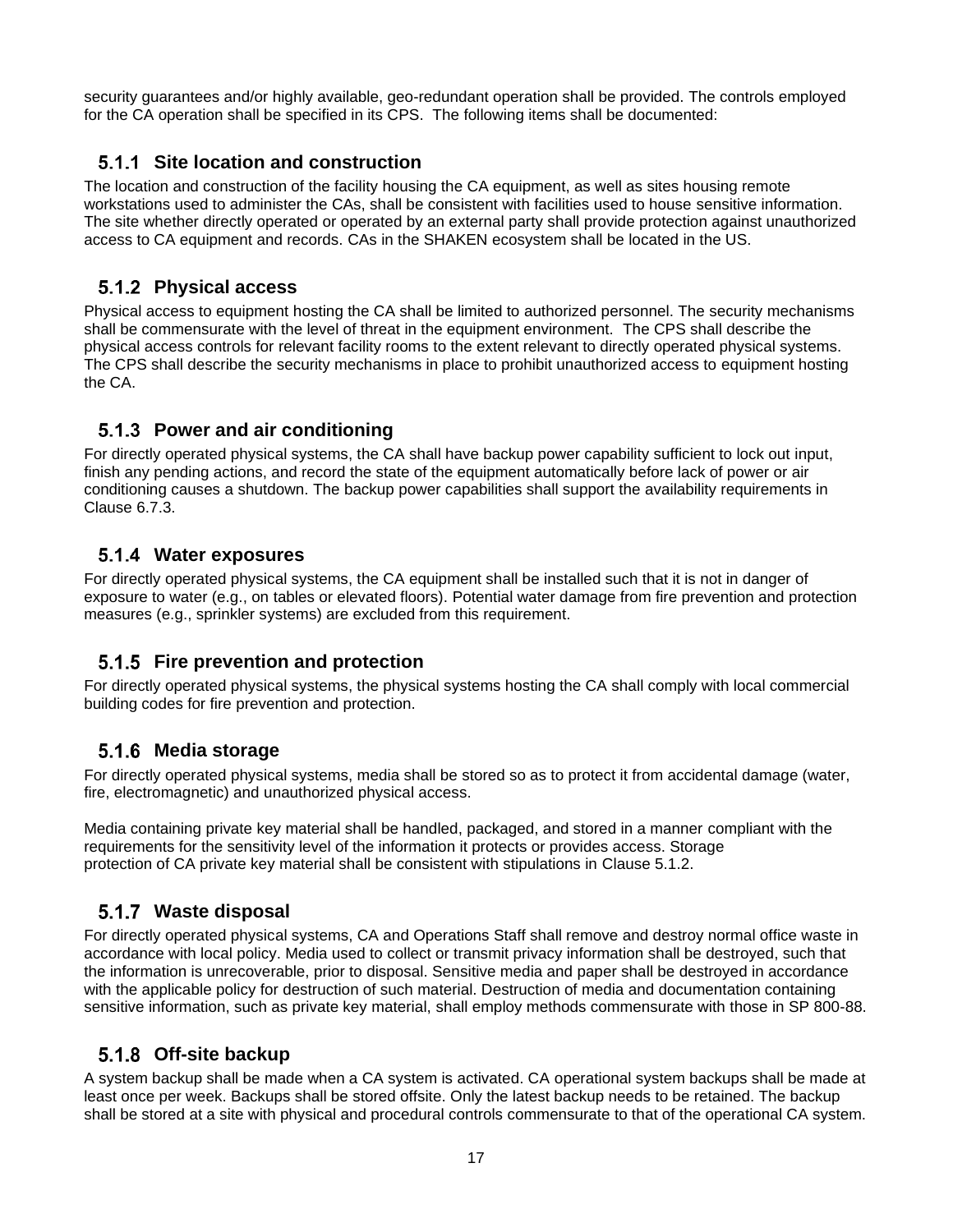security guarantees and/or highly available, geo-redundant operation shall be provided. The controls employed for the CA operation shall be specified in its CPS. The following items shall be documented:

#### **Site location and construction**

The location and construction of the facility housing the CA equipment, as well as sites housing remote workstations used to administer the CAs, shall be consistent with facilities used to house sensitive information. The site whether directly operated or operated by an external party shall provide protection against unauthorized access to CA equipment and records. CAs in the SHAKEN ecosystem shall be located in the US.

#### **Physical access**

Physical access to equipment hosting the CA shall be limited to authorized personnel. The security mechanisms shall be commensurate with the level of threat in the equipment environment. The CPS shall describe the physical access controls for relevant facility rooms to the extent relevant to directly operated physical systems. The CPS shall describe the security mechanisms in place to prohibit unauthorized access to equipment hosting the CA.

#### **Power and air conditioning**

For directly operated physical systems, the CA shall have backup power capability sufficient to lock out input, finish any pending actions, and record the state of the equipment automatically before lack of power or air conditioning causes a shutdown. The backup power capabilities shall support the availability requirements in Clause 6.7.3.

#### **Water exposures**

For directly operated physical systems, the CA equipment shall be installed such that it is not in danger of exposure to water (e.g., on tables or elevated floors). Potential water damage from fire prevention and protection measures (e.g., sprinkler systems) are excluded from this requirement.

#### **Fire prevention and protection**

For directly operated physical systems, the physical systems hosting the CA shall comply with local commercial building codes for fire prevention and protection.

#### **Media storage**

For directly operated physical systems, media shall be stored so as to protect it from accidental damage (water, fire, electromagnetic) and unauthorized physical access.

Media containing private key material shall be handled, packaged, and stored in a manner compliant with the requirements for the sensitivity level of the information it protects or provides access. Storage protection of CA private key material shall be consistent with stipulations in Clause 5.1.2.

#### **Waste disposal**

For directly operated physical systems, CA and Operations Staff shall remove and destroy normal office waste in accordance with local policy. Media used to collect or transmit privacy information shall be destroyed, such that the information is unrecoverable, prior to disposal. Sensitive media and paper shall be destroyed in accordance with the applicable policy for destruction of such material. Destruction of media and documentation containing sensitive information, such as private key material, shall employ methods commensurate with those in SP 800-88.

#### **Off-site backup**

A system backup shall be made when a CA system is activated. CA operational system backups shall be made at least once per week. Backups shall be stored offsite. Only the latest backup needs to be retained. The backup shall be stored at a site with physical and procedural controls commensurate to that of the operational CA system.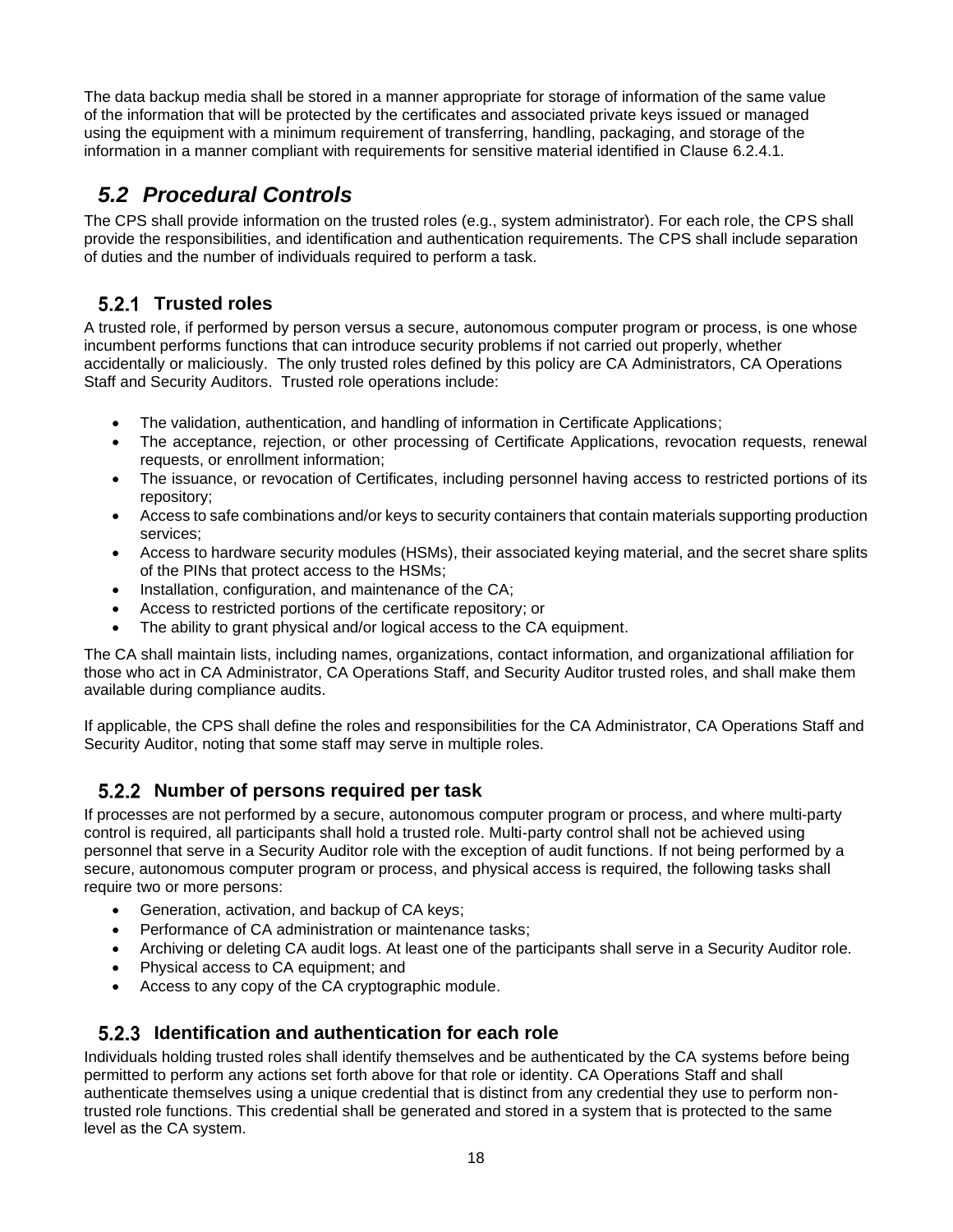The data backup media shall be stored in a manner appropriate for storage of information of the same value of the information that will be protected by the certificates and associated private keys issued or managed using the equipment with a minimum requirement of transferring, handling, packaging, and storage of the information in a manner compliant with requirements for sensitive material identified in Clause 6.2.4.1.

# *5.2 Procedural Controls*

The CPS shall provide information on the trusted roles (e.g., system administrator). For each role, the CPS shall provide the responsibilities, and identification and authentication requirements. The CPS shall include separation of duties and the number of individuals required to perform a task.

## **5.2.1 Trusted roles**

A trusted role, if performed by person versus a secure, autonomous computer program or process, is one whose incumbent performs functions that can introduce security problems if not carried out properly, whether accidentally or maliciously. The only trusted roles defined by this policy are CA Administrators, CA Operations Staff and Security Auditors. Trusted role operations include:

- The validation, authentication, and handling of information in Certificate Applications;
- The acceptance, rejection, or other processing of Certificate Applications, revocation requests, renewal requests, or enrollment information;
- The issuance, or revocation of Certificates, including personnel having access to restricted portions of its repository;
- Access to safe combinations and/or keys to security containers that contain materials supporting production services;
- Access to hardware security modules (HSMs), their associated keying material, and the secret share splits of the PINs that protect access to the HSMs;
- Installation, configuration, and maintenance of the CA;
- Access to restricted portions of the certificate repository; or
- The ability to grant physical and/or logical access to the CA equipment.

The CA shall maintain lists, including names, organizations, contact information, and organizational affiliation for those who act in CA Administrator, CA Operations Staff, and Security Auditor trusted roles, and shall make them available during compliance audits.

If applicable, the CPS shall define the roles and responsibilities for the CA Administrator, CA Operations Staff and Security Auditor, noting that some staff may serve in multiple roles.

#### **Number of persons required per task**

If processes are not performed by a secure, autonomous computer program or process, and where multi-party control is required, all participants shall hold a trusted role. Multi-party control shall not be achieved using personnel that serve in a Security Auditor role with the exception of audit functions. If not being performed by a secure, autonomous computer program or process, and physical access is required, the following tasks shall require two or more persons:

- Generation, activation, and backup of CA keys;
- Performance of CA administration or maintenance tasks:
- Archiving or deleting CA audit logs. At least one of the participants shall serve in a Security Auditor role.
- Physical access to CA equipment; and
- Access to any copy of the CA cryptographic module.

#### **Identification and authentication for each role**

Individuals holding trusted roles shall identify themselves and be authenticated by the CA systems before being permitted to perform any actions set forth above for that role or identity. CA Operations Staff and shall authenticate themselves using a unique credential that is distinct from any credential they use to perform nontrusted role functions. This credential shall be generated and stored in a system that is protected to the same level as the CA system.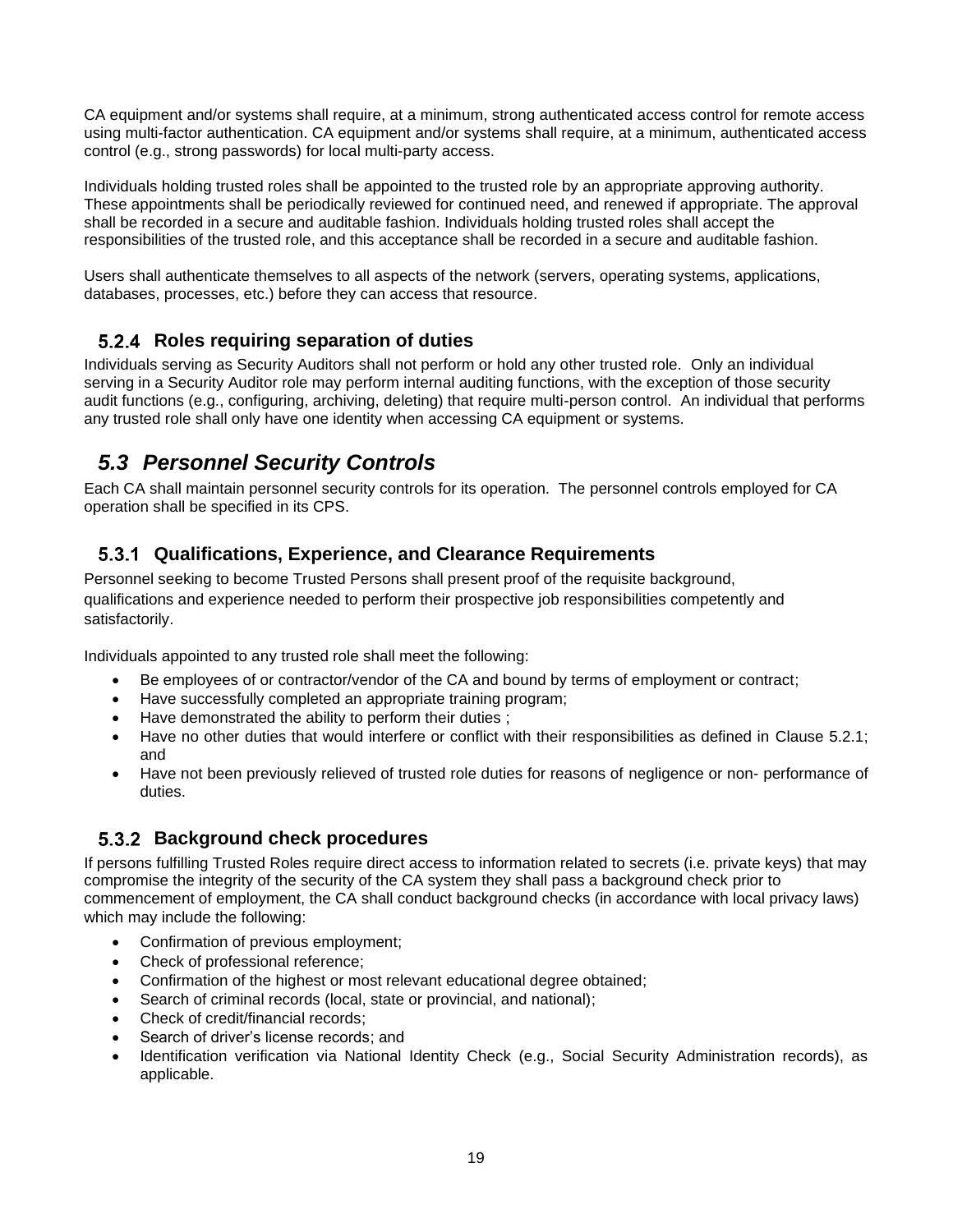CA equipment and/or systems shall require, at a minimum, strong authenticated access control for remote access using multi-factor authentication. CA equipment and/or systems shall require, at a minimum, authenticated access control (e.g., strong passwords) for local multi-party access.

Individuals holding trusted roles shall be appointed to the trusted role by an appropriate approving authority. These appointments shall be periodically reviewed for continued need, and renewed if appropriate. The approval shall be recorded in a secure and auditable fashion. Individuals holding trusted roles shall accept the responsibilities of the trusted role, and this acceptance shall be recorded in a secure and auditable fashion.

Users shall authenticate themselves to all aspects of the network (servers, operating systems, applications, databases, processes, etc.) before they can access that resource.

#### **Roles requiring separation of duties**

Individuals serving as Security Auditors shall not perform or hold any other trusted role. Only an individual serving in a Security Auditor role may perform internal auditing functions, with the exception of those security audit functions (e.g., configuring, archiving, deleting) that require multi-person control. An individual that performs any trusted role shall only have one identity when accessing CA equipment or systems.

# *5.3 Personnel Security Controls*

Each CA shall maintain personnel security controls for its operation. The personnel controls employed for CA operation shall be specified in its CPS.

#### **Qualifications, Experience, and Clearance Requirements**

Personnel seeking to become Trusted Persons shall present proof of the requisite background, qualifications and experience needed to perform their prospective job responsibilities competently and satisfactorily.

Individuals appointed to any trusted role shall meet the following:

- Be employees of or contractor/vendor of the CA and bound by terms of employment or contract;
- Have successfully completed an appropriate training program;
- Have demonstrated the ability to perform their duties ;
- Have no other duties that would interfere or conflict with their responsibilities as defined in Clause 5.2.1; and
- Have not been previously relieved of trusted role duties for reasons of negligence or non- performance of duties.

#### **Background check procedures**

If persons fulfilling Trusted Roles require direct access to information related to secrets (i.e. private keys) that may compromise the integrity of the security of the CA system they shall pass a background check prior to commencement of employment, the CA shall conduct background checks (in accordance with local privacy laws) which may include the following:

- Confirmation of previous employment;
- Check of professional reference;
- Confirmation of the highest or most relevant educational degree obtained;
- Search of criminal records (local, state or provincial, and national);
- Check of credit/financial records;
- Search of driver's license records; and
- Identification verification via National Identity Check (e.g., Social Security Administration records), as applicable.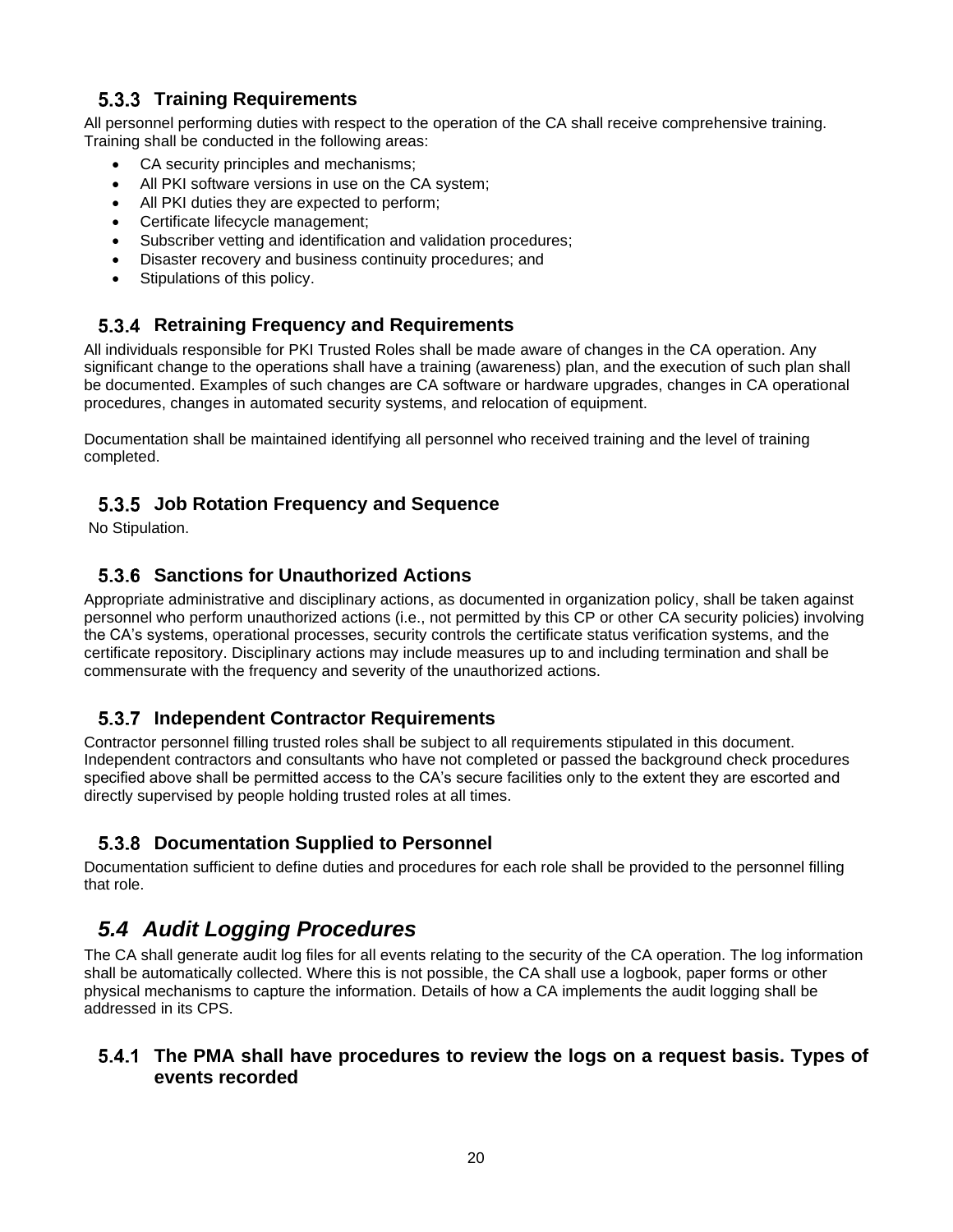#### **5.3.3 Training Requirements**

All personnel performing duties with respect to the operation of the CA shall receive comprehensive training. Training shall be conducted in the following areas:

- CA security principles and mechanisms;
- All PKI software versions in use on the CA system;
- All PKI duties they are expected to perform;
- Certificate lifecycle management;
- Subscriber vetting and identification and validation procedures;
- Disaster recovery and business continuity procedures; and
- Stipulations of this policy.

### **Retraining Frequency and Requirements**

All individuals responsible for PKI Trusted Roles shall be made aware of changes in the CA operation. Any significant change to the operations shall have a training (awareness) plan, and the execution of such plan shall be documented. Examples of such changes are CA software or hardware upgrades, changes in CA operational procedures, changes in automated security systems, and relocation of equipment.

Documentation shall be maintained identifying all personnel who received training and the level of training completed.

### **Job Rotation Frequency and Sequence**

No Stipulation.

### **Sanctions for Unauthorized Actions**

Appropriate administrative and disciplinary actions, as documented in organization policy, shall be taken against personnel who perform unauthorized actions (i.e., not permitted by this CP or other CA security policies) involving the CA's systems, operational processes, security controls the certificate status verification systems, and the certificate repository. Disciplinary actions may include measures up to and including termination and shall be commensurate with the frequency and severity of the unauthorized actions.

#### **Independent Contractor Requirements**

Contractor personnel filling trusted roles shall be subject to all requirements stipulated in this document. Independent contractors and consultants who have not completed or passed the background check procedures specified above shall be permitted access to the CA's secure facilities only to the extent they are escorted and directly supervised by people holding trusted roles at all times.

#### **Documentation Supplied to Personnel**

Documentation sufficient to define duties and procedures for each role shall be provided to the personnel filling that role.

# *5.4 Audit Logging Procedures*

The CA shall generate audit log files for all events relating to the security of the CA operation. The log information shall be automatically collected. Where this is not possible, the CA shall use a logbook, paper forms or other physical mechanisms to capture the information. Details of how a CA implements the audit logging shall be addressed in its CPS.

#### **The PMA shall have procedures to review the logs on a request basis. Types of events recorded**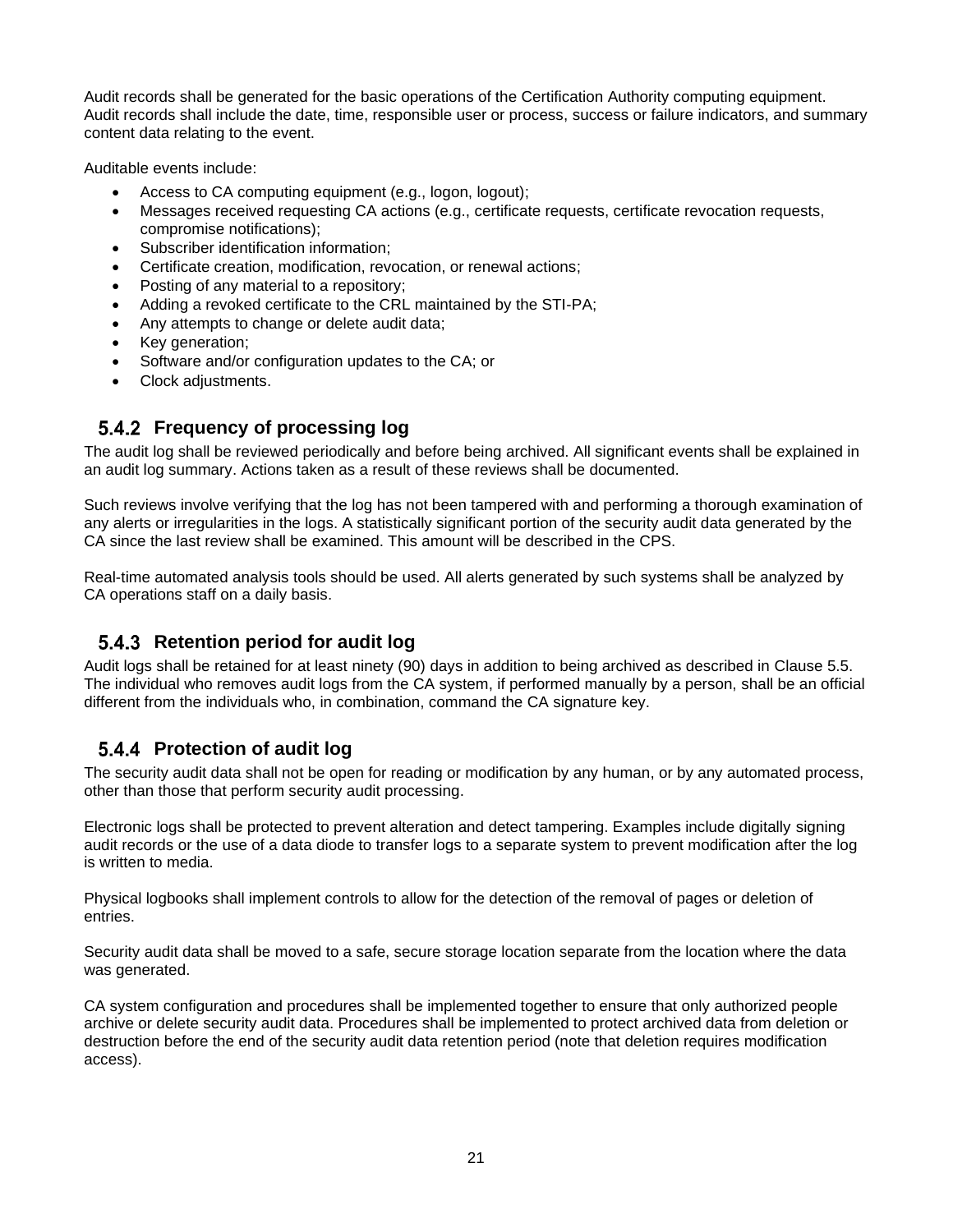Audit records shall be generated for the basic operations of the Certification Authority computing equipment. Audit records shall include the date, time, responsible user or process, success or failure indicators, and summary content data relating to the event.

Auditable events include:

- Access to CA computing equipment (e.g., logon, logout);
- Messages received requesting CA actions (e.g., certificate requests, certificate revocation requests, compromise notifications);
- Subscriber identification information;
- Certificate creation, modification, revocation, or renewal actions;
- Posting of any material to a repository;
- Adding a revoked certificate to the CRL maintained by the STI-PA;
- Any attempts to change or delete audit data;
- Key generation;
- Software and/or configuration updates to the CA; or
- Clock adjustments.

#### **Frequency of processing log**

The audit log shall be reviewed periodically and before being archived. All significant events shall be explained in an audit log summary. Actions taken as a result of these reviews shall be documented.

Such reviews involve verifying that the log has not been tampered with and performing a thorough examination of any alerts or irregularities in the logs. A statistically significant portion of the security audit data generated by the CA since the last review shall be examined. This amount will be described in the CPS.

Real-time automated analysis tools should be used. All alerts generated by such systems shall be analyzed by CA operations staff on a daily basis.

#### **5.4.3 Retention period for audit log**

Audit logs shall be retained for at least ninety (90) days in addition to being archived as described in Clause 5.5. The individual who removes audit logs from the CA system, if performed manually by a person, shall be an official different from the individuals who, in combination, command the CA signature key.

#### **Protection of audit log**

The security audit data shall not be open for reading or modification by any human, or by any automated process, other than those that perform security audit processing.

Electronic logs shall be protected to prevent alteration and detect tampering. Examples include digitally signing audit records or the use of a data diode to transfer logs to a separate system to prevent modification after the log is written to media.

Physical logbooks shall implement controls to allow for the detection of the removal of pages or deletion of entries.

Security audit data shall be moved to a safe, secure storage location separate from the location where the data was generated.

CA system configuration and procedures shall be implemented together to ensure that only authorized people archive or delete security audit data. Procedures shall be implemented to protect archived data from deletion or destruction before the end of the security audit data retention period (note that deletion requires modification access).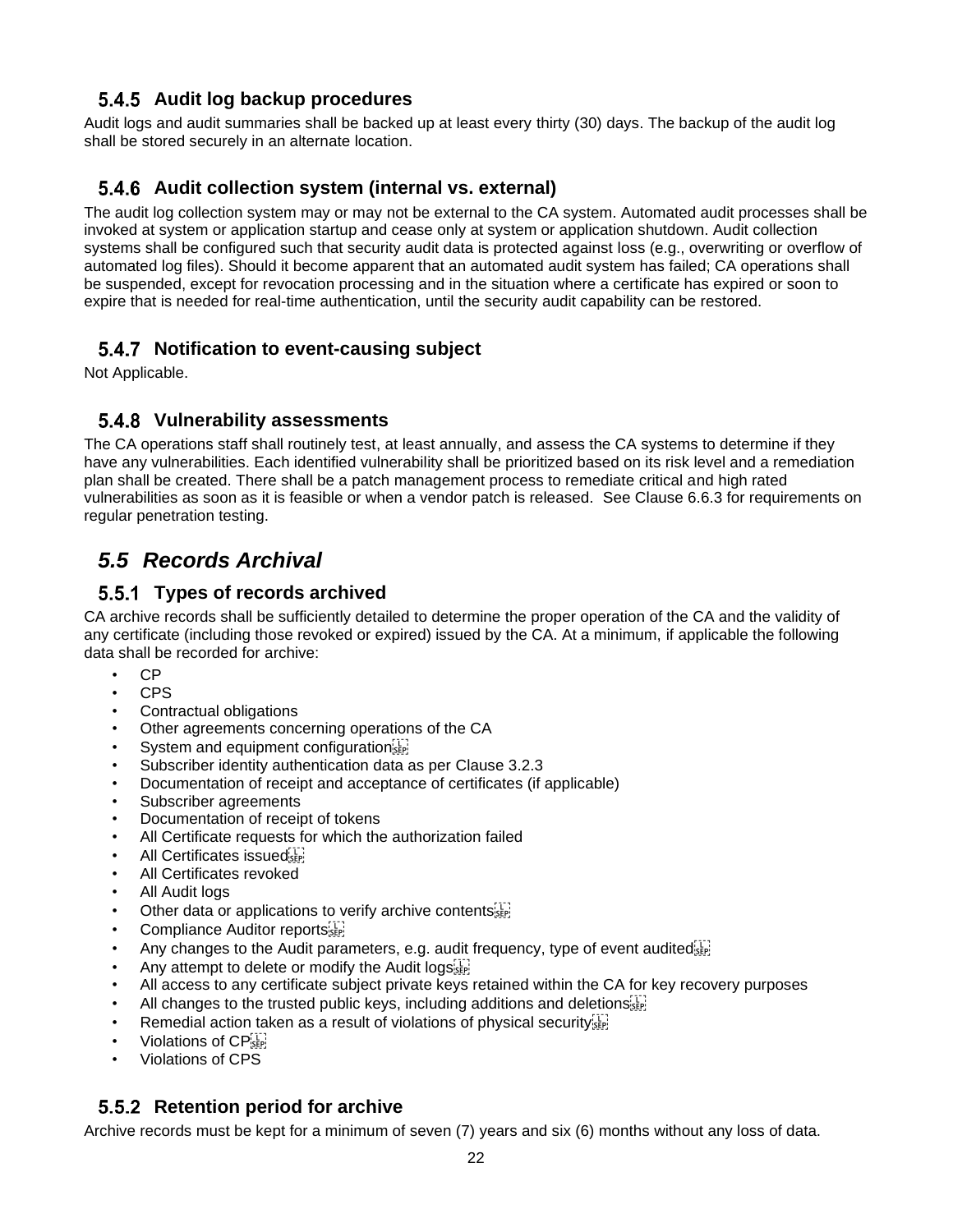#### **5.4.5 Audit log backup procedures**

Audit logs and audit summaries shall be backed up at least every thirty (30) days. The backup of the audit log shall be stored securely in an alternate location.

#### **Audit collection system (internal vs. external)**

The audit log collection system may or may not be external to the CA system. Automated audit processes shall be invoked at system or application startup and cease only at system or application shutdown. Audit collection systems shall be configured such that security audit data is protected against loss (e.g., overwriting or overflow of automated log files). Should it become apparent that an automated audit system has failed; CA operations shall be suspended, except for revocation processing and in the situation where a certificate has expired or soon to expire that is needed for real-time authentication, until the security audit capability can be restored.

#### **Notification to event-causing subject**

Not Applicable.

#### **Vulnerability assessments**

The CA operations staff shall routinely test, at least annually, and assess the CA systems to determine if they have any vulnerabilities. Each identified vulnerability shall be prioritized based on its risk level and a remediation plan shall be created. There shall be a patch management process to remediate critical and high rated vulnerabilities as soon as it is feasible or when a vendor patch is released. See Clause 6.6.3 for requirements on regular penetration testing.

# *5.5 Records Archival*

#### **Types of records archived**

CA archive records shall be sufficiently detailed to determine the proper operation of the CA and the validity of any certificate (including those revoked or expired) issued by the CA. At a minimum, if applicable the following data shall be recorded for archive:

- CP
- CPS
- Contractual obligations
- Other agreements concerning operations of the CA
- System and equipment configuration step
- Subscriber identity authentication data as per Clause 3.2.3
- Documentation of receipt and acceptance of certificates (if applicable)
- Subscriber agreements
- Documentation of receipt of tokens
- All Certificate requests for which the authorization failed
- All Certificates issued
- All Certificates revoked
- All Audit logs
- Other data or applications to verify archive contents<sup>[17]</sup>
- Compliance Auditor reports
- Any changes to the Audit parameters, e.g. audit frequency, type of event audited  $\frac{1}{2}$
- Any attempt to delete or modify the Audit logs
- All access to any certificate subject private keys retained within the CA for key recovery purposes
- All changes to the trusted public keys, including additions and deletions  $s_{\text{SEP}}$
- Remedial action taken as a result of violations of physical security
- Violations of CP<sub>SEP</sub>
- Violations of CPS

### **5.5.2 Retention period for archive**

Archive records must be kept for a minimum of seven (7) years and six (6) months without any loss of data.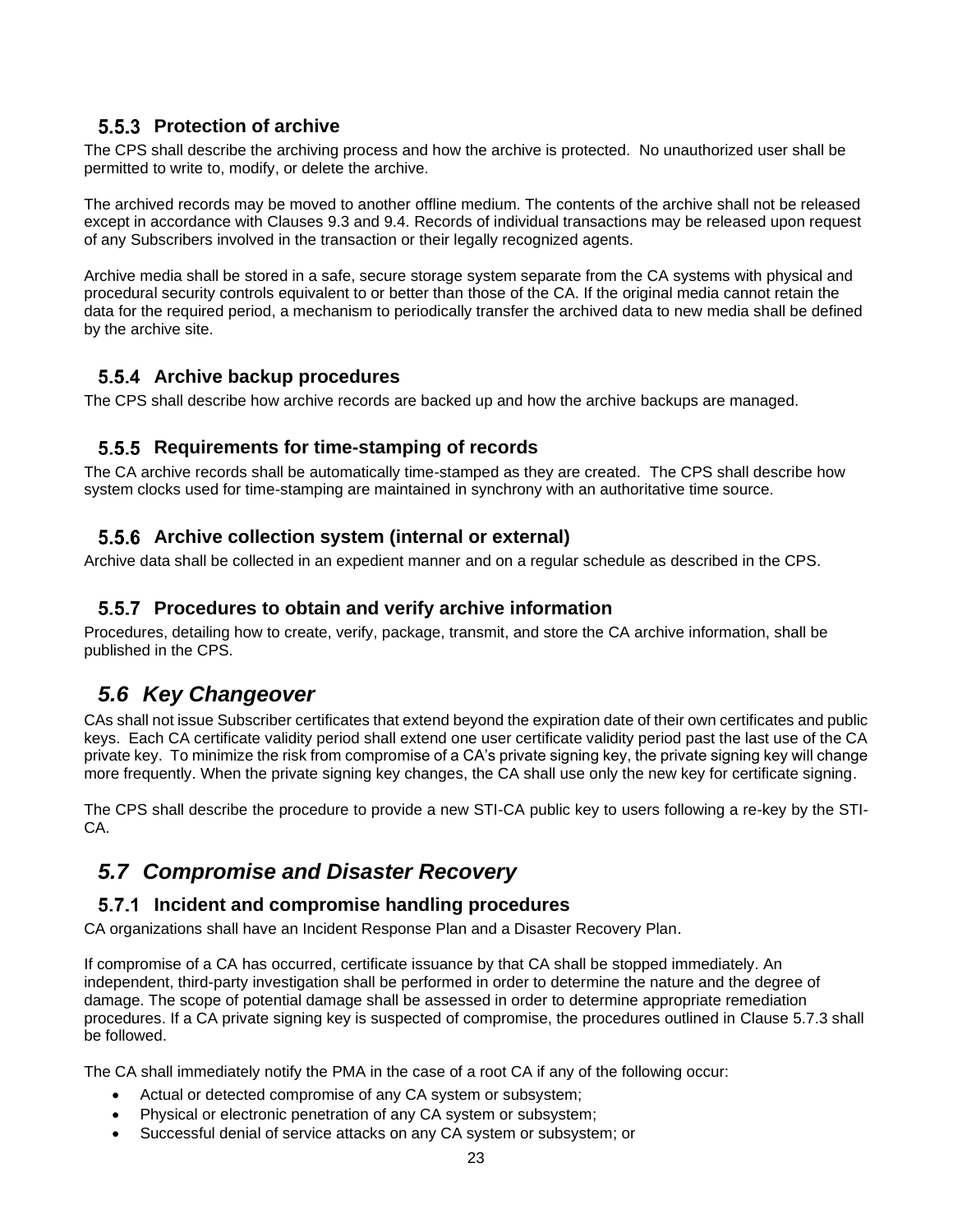#### **5.5.3 Protection of archive**

The CPS shall describe the archiving process and how the archive is protected. No unauthorized user shall be permitted to write to, modify, or delete the archive.

The archived records may be moved to another offline medium. The contents of the archive shall not be released except in accordance with Clauses 9.3 and 9.4. Records of individual transactions may be released upon request of any Subscribers involved in the transaction or their legally recognized agents.

Archive media shall be stored in a safe, secure storage system separate from the CA systems with physical and procedural security controls equivalent to or better than those of the CA. If the original media cannot retain the data for the required period, a mechanism to periodically transfer the archived data to new media shall be defined by the archive site.

#### **5.5.4 Archive backup procedures**

The CPS shall describe how archive records are backed up and how the archive backups are managed.

#### **5.5.5 Requirements for time-stamping of records**

The CA archive records shall be automatically time-stamped as they are created. The CPS shall describe how system clocks used for time-stamping are maintained in synchrony with an authoritative time source.

#### **Archive collection system (internal or external)**

Archive data shall be collected in an expedient manner and on a regular schedule as described in the CPS.

#### **Procedures to obtain and verify archive information**

Procedures, detailing how to create, verify, package, transmit, and store the CA archive information, shall be published in the CPS.

# *5.6 Key Changeover*

CAs shall not issue Subscriber certificates that extend beyond the expiration date of their own certificates and public keys. Each CA certificate validity period shall extend one user certificate validity period past the last use of the CA private key. To minimize the risk from compromise of a CA's private signing key, the private signing key will change more frequently. When the private signing key changes, the CA shall use only the new key for certificate signing.

The CPS shall describe the procedure to provide a new STI-CA public key to users following a re-key by the STI-CA.

# *5.7 Compromise and Disaster Recovery*

### **Incident and compromise handling procedures**

CA organizations shall have an Incident Response Plan and a Disaster Recovery Plan.

If compromise of a CA has occurred, certificate issuance by that CA shall be stopped immediately. An independent, third-party investigation shall be performed in order to determine the nature and the degree of damage. The scope of potential damage shall be assessed in order to determine appropriate remediation procedures. If a CA private signing key is suspected of compromise, the procedures outlined in Clause 5.7.3 shall be followed.

The CA shall immediately notify the PMA in the case of a root CA if any of the following occur:

- Actual or detected compromise of any CA system or subsystem;
- Physical or electronic penetration of any CA system or subsystem;
- Successful denial of service attacks on any CA system or subsystem; or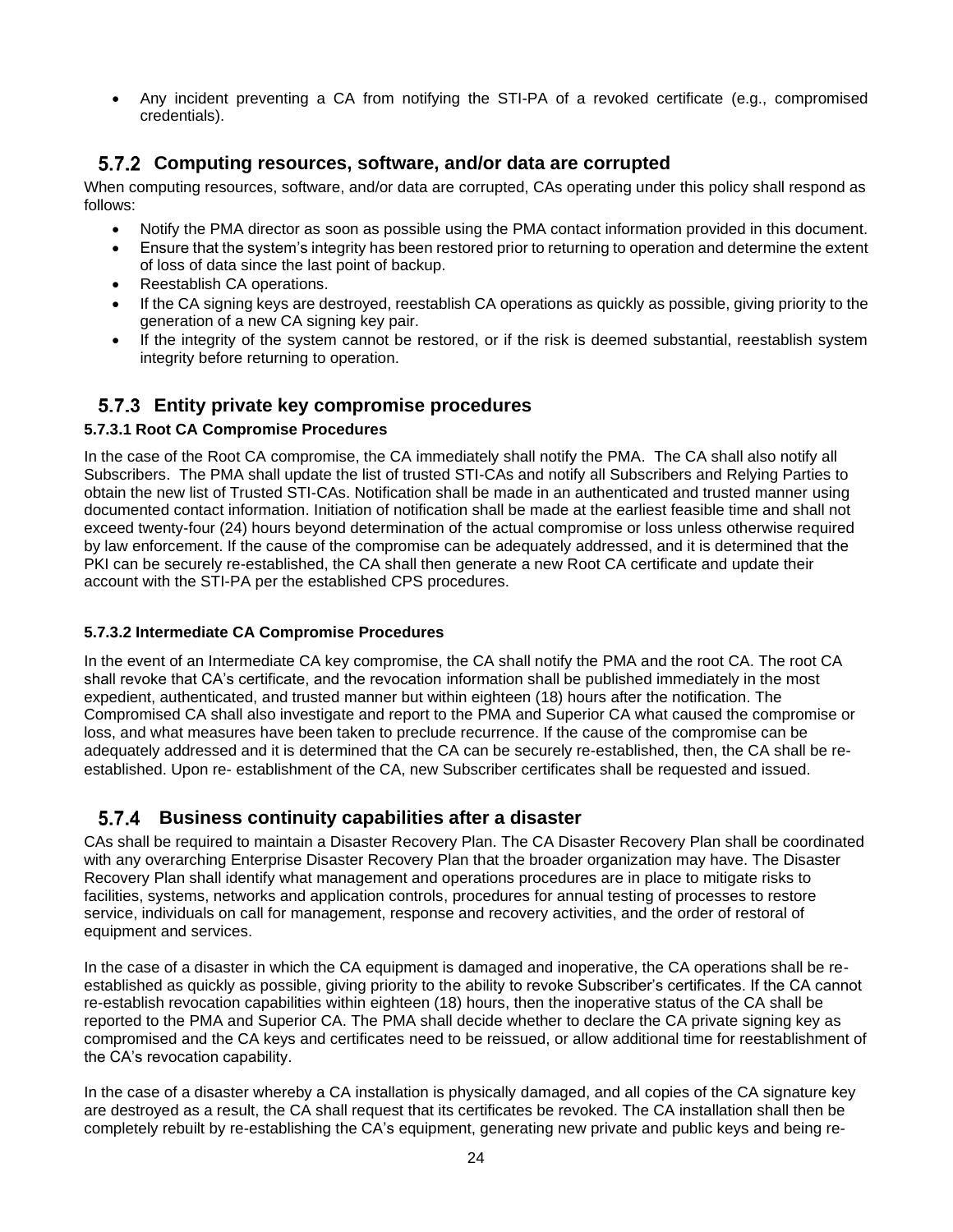• Any incident preventing a CA from notifying the STI-PA of a revoked certificate (e.g., compromised credentials).

#### **Computing resources, software, and/or data are corrupted**

When computing resources, software, and/or data are corrupted, CAs operating under this policy shall respond as follows:

- Notify the PMA director as soon as possible using the PMA contact information provided in this document.
- Ensure that the system's integrity has been restored prior to returning to operation and determine the extent of loss of data since the last point of backup.
- Reestablish CA operations.
- If the CA signing keys are destroyed, reestablish CA operations as quickly as possible, giving priority to the generation of a new CA signing key pair.
- If the integrity of the system cannot be restored, or if the risk is deemed substantial, reestablish system integrity before returning to operation.

#### **Entity private key compromise procedures**

#### **5.7.3.1 Root CA Compromise Procedures**

In the case of the Root CA compromise, the CA immediately shall notify the PMA. The CA shall also notify all Subscribers. The PMA shall update the list of trusted STI-CAs and notify all Subscribers and Relying Parties to obtain the new list of Trusted STI-CAs. Notification shall be made in an authenticated and trusted manner using documented contact information. Initiation of notification shall be made at the earliest feasible time and shall not exceed twenty-four (24) hours beyond determination of the actual compromise or loss unless otherwise required by law enforcement. If the cause of the compromise can be adequately addressed, and it is determined that the PKI can be securely re-established, the CA shall then generate a new Root CA certificate and update their account with the STI-PA per the established CPS procedures.

#### **5.7.3.2 Intermediate CA Compromise Procedures**

In the event of an Intermediate CA key compromise, the CA shall notify the PMA and the root CA. The root CA shall revoke that CA's certificate, and the revocation information shall be published immediately in the most expedient, authenticated, and trusted manner but within eighteen (18) hours after the notification. The Compromised CA shall also investigate and report to the PMA and Superior CA what caused the compromise or loss, and what measures have been taken to preclude recurrence. If the cause of the compromise can be adequately addressed and it is determined that the CA can be securely re-established, then, the CA shall be reestablished. Upon re- establishment of the CA, new Subscriber certificates shall be requested and issued.

#### **Business continuity capabilities after a disaster**

CAs shall be required to maintain a Disaster Recovery Plan. The CA Disaster Recovery Plan shall be coordinated with any overarching Enterprise Disaster Recovery Plan that the broader organization may have. The Disaster Recovery Plan shall identify what management and operations procedures are in place to mitigate risks to facilities, systems, networks and application controls, procedures for annual testing of processes to restore service, individuals on call for management, response and recovery activities, and the order of restoral of equipment and services.

In the case of a disaster in which the CA equipment is damaged and inoperative, the CA operations shall be reestablished as quickly as possible, giving priority to the ability to revoke Subscriber's certificates. If the CA cannot re-establish revocation capabilities within eighteen (18) hours, then the inoperative status of the CA shall be reported to the PMA and Superior CA. The PMA shall decide whether to declare the CA private signing key as compromised and the CA keys and certificates need to be reissued, or allow additional time for reestablishment of the CA's revocation capability.

In the case of a disaster whereby a CA installation is physically damaged, and all copies of the CA signature key are destroyed as a result, the CA shall request that its certificates be revoked. The CA installation shall then be completely rebuilt by re-establishing the CA's equipment, generating new private and public keys and being re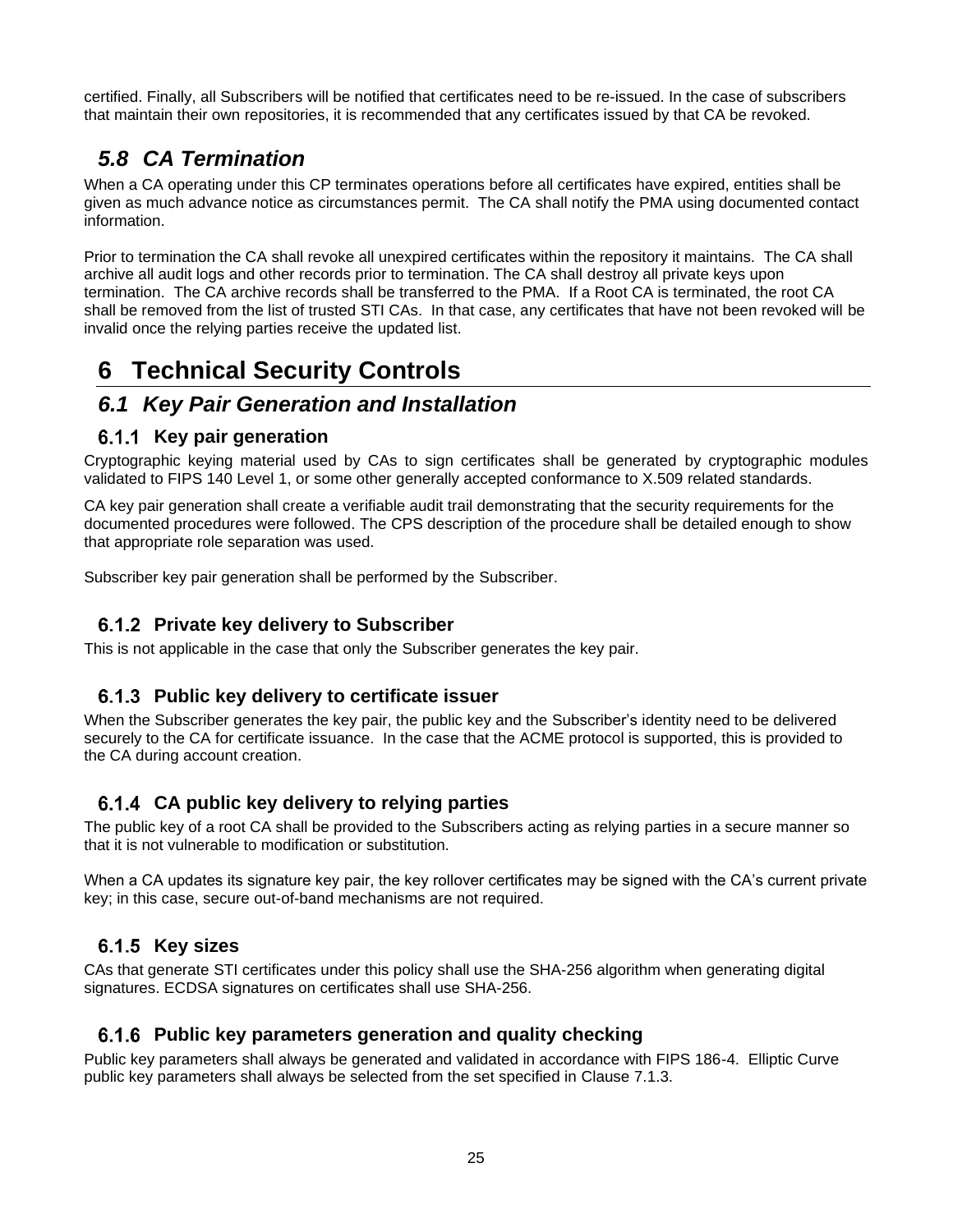certified. Finally, all Subscribers will be notified that certificates need to be re-issued. In the case of subscribers that maintain their own repositories, it is recommended that any certificates issued by that CA be revoked.

# *5.8 CA Termination*

When a CA operating under this CP terminates operations before all certificates have expired, entities shall be given as much advance notice as circumstances permit. The CA shall notify the PMA using documented contact information.

Prior to termination the CA shall revoke all unexpired certificates within the repository it maintains. The CA shall archive all audit logs and other records prior to termination. The CA shall destroy all private keys upon termination. The CA archive records shall be transferred to the PMA. If a Root CA is terminated, the root CA shall be removed from the list of trusted STI CAs. In that case, any certificates that have not been revoked will be invalid once the relying parties receive the updated list.

# **6 Technical Security Controls**

### *6.1 Key Pair Generation and Installation*

#### **Key pair generation**

Cryptographic keying material used by CAs to sign certificates shall be generated by cryptographic modules validated to FIPS 140 Level 1, or some other generally accepted conformance to X.509 related standards.

CA key pair generation shall create a verifiable audit trail demonstrating that the security requirements for the documented procedures were followed. The CPS description of the procedure shall be detailed enough to show that appropriate role separation was used.

Subscriber key pair generation shall be performed by the Subscriber.

#### **Private key delivery to Subscriber**

This is not applicable in the case that only the Subscriber generates the key pair.

#### **Public key delivery to certificate issuer**

When the Subscriber generates the key pair, the public key and the Subscriber's identity need to be delivered securely to the CA for certificate issuance. In the case that the ACME protocol is supported, this is provided to the CA during account creation.

#### **CA public key delivery to relying parties**

The public key of a root CA shall be provided to the Subscribers acting as relying parties in a secure manner so that it is not vulnerable to modification or substitution.

When a CA updates its signature key pair, the key rollover certificates may be signed with the CA's current private key; in this case, secure out-of-band mechanisms are not required.

#### 6.1.5 Key sizes

CAs that generate STI certificates under this policy shall use the SHA-256 algorithm when generating digital signatures. ECDSA signatures on certificates shall use SHA-256.

#### **Public key parameters generation and quality checking**

Public key parameters shall always be generated and validated in accordance with FIPS 186-4. Elliptic Curve public key parameters shall always be selected from the set specified in Clause 7.1.3.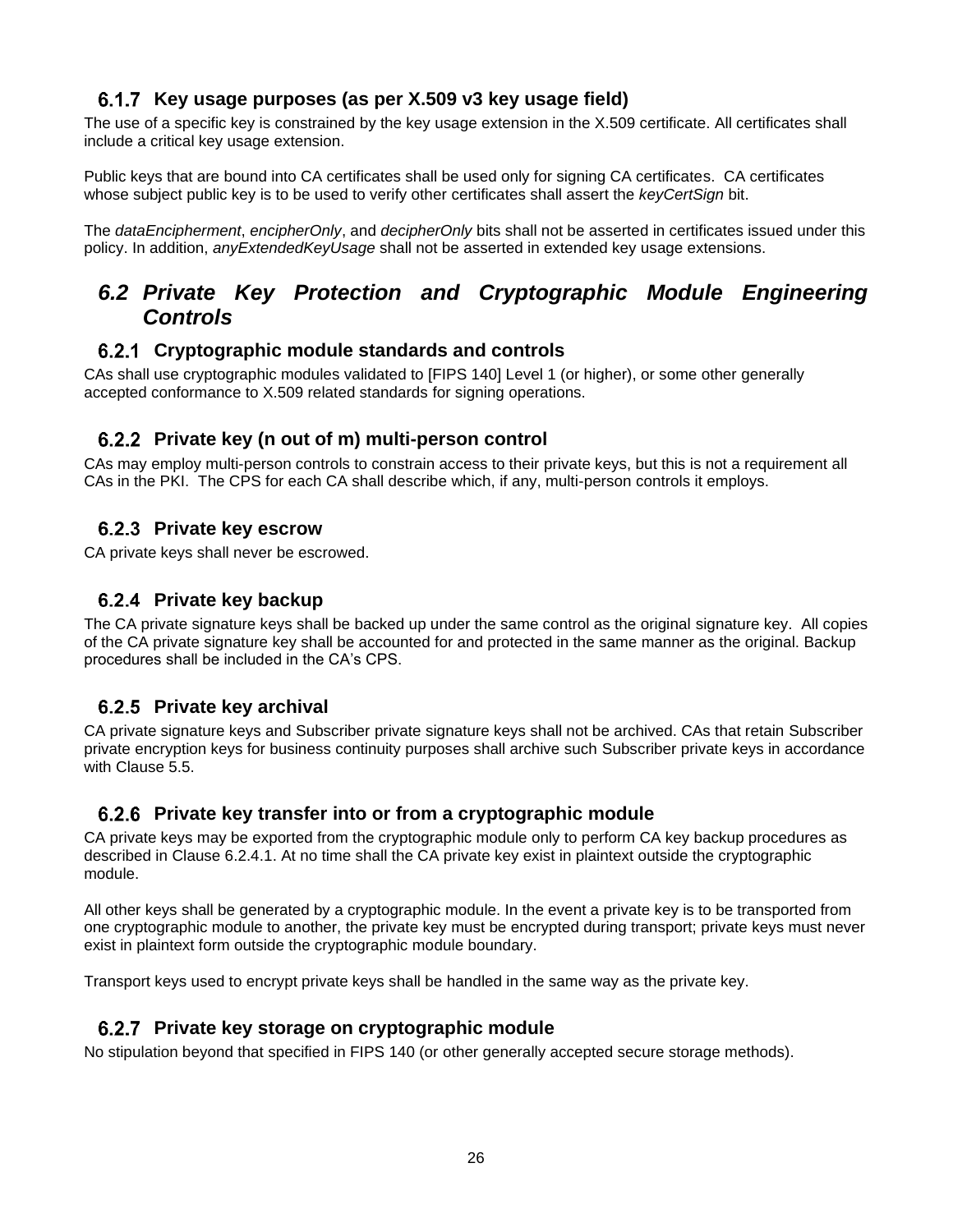#### **Key usage purposes (as per X.509 v3 key usage field)**

The use of a specific key is constrained by the key usage extension in the X.509 certificate. All certificates shall include a critical key usage extension.

Public keys that are bound into CA certificates shall be used only for signing CA certificates. CA certificates whose subject public key is to be used to verify other certificates shall assert the *keyCertSign* bit.

The *dataEncipherment*, *encipherOnly*, and *decipherOnly* bits shall not be asserted in certificates issued under this policy. In addition, *anyExtendedKeyUsage* shall not be asserted in extended key usage extensions.

## *6.2 Private Key Protection and Cryptographic Module Engineering Controls*

#### **Cryptographic module standards and controls**

CAs shall use cryptographic modules validated to [FIPS 140] Level 1 (or higher), or some other generally accepted conformance to X.509 related standards for signing operations.

#### **Private key (n out of m) multi-person control**

CAs may employ multi-person controls to constrain access to their private keys, but this is not a requirement all CAs in the PKI.The CPS for each CA shall describe which, if any, multi-person controls it employs.

#### **Private key escrow**

CA private keys shall never be escrowed.

#### **Private key backup**

The CA private signature keys shall be backed up under the same control as the original signature key. All copies of the CA private signature key shall be accounted for and protected in the same manner as the original. Backup procedures shall be included in the CA's CPS.

#### **Private key archival**

CA private signature keys and Subscriber private signature keys shall not be archived. CAs that retain Subscriber private encryption keys for business continuity purposes shall archive such Subscriber private keys in accordance with Clause 5.5.

#### **Private key transfer into or from a cryptographic module**

CA private keys may be exported from the cryptographic module only to perform CA key backup procedures as described in Clause 6.2.4.1. At no time shall the CA private key exist in plaintext outside the cryptographic module.

All other keys shall be generated by a cryptographic module. In the event a private key is to be transported from one cryptographic module to another, the private key must be encrypted during transport; private keys must never exist in plaintext form outside the cryptographic module boundary.

Transport keys used to encrypt private keys shall be handled in the same way as the private key.

#### **Private key storage on cryptographic module**

No stipulation beyond that specified in FIPS 140 (or other generally accepted secure storage methods).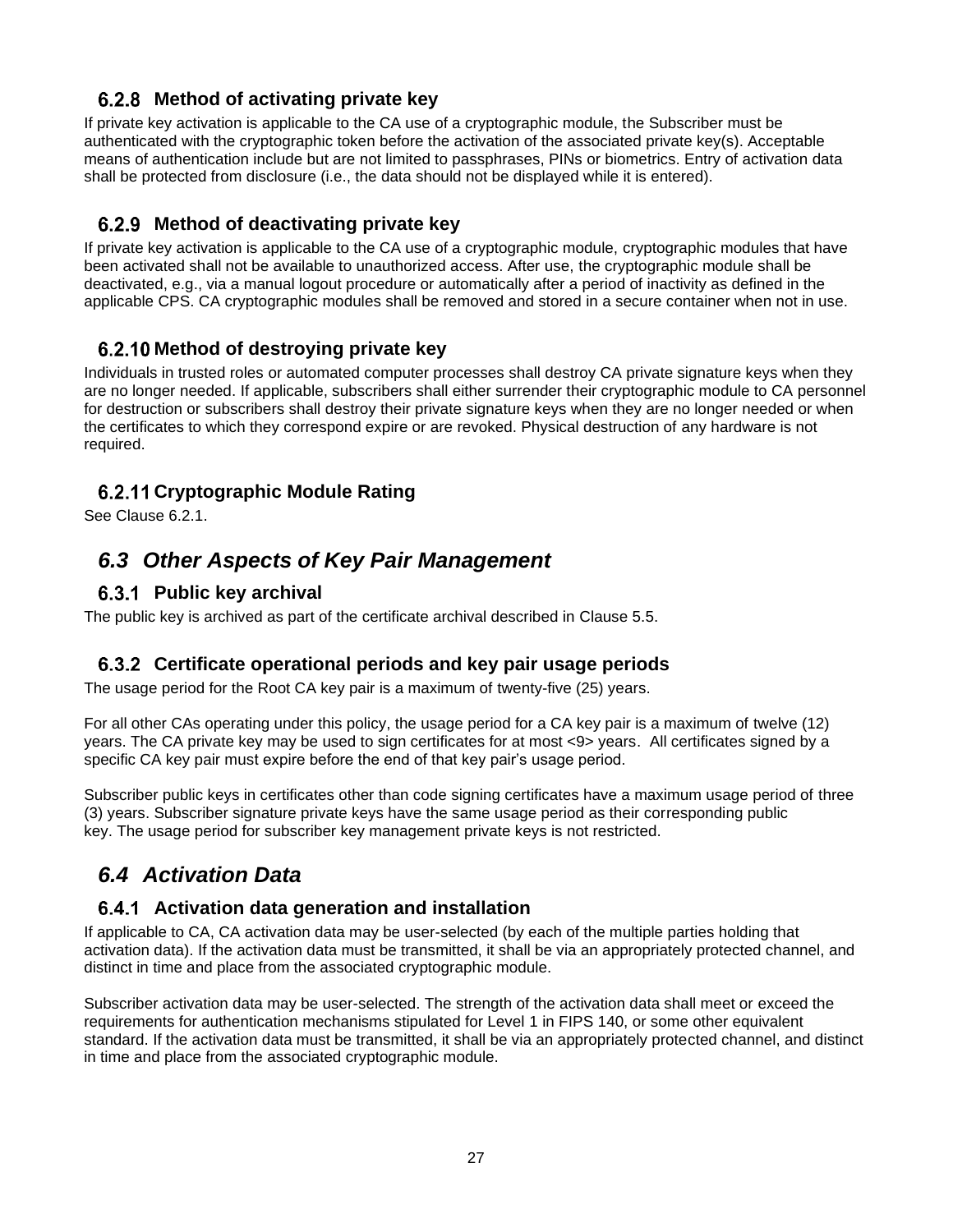#### **Method of activating private key**

If private key activation is applicable to the CA use of a cryptographic module, the Subscriber must be authenticated with the cryptographic token before the activation of the associated private key(s). Acceptable means of authentication include but are not limited to passphrases, PINs or biometrics. Entry of activation data shall be protected from disclosure (i.e., the data should not be displayed while it is entered).

#### **Method of deactivating private key**

If private key activation is applicable to the CA use of a cryptographic module, cryptographic modules that have been activated shall not be available to unauthorized access. After use, the cryptographic module shall be deactivated, e.g., via a manual logout procedure or automatically after a period of inactivity as defined in the applicable CPS. CA cryptographic modules shall be removed and stored in a secure container when not in use.

#### **Method of destroying private key**

Individuals in trusted roles or automated computer processes shall destroy CA private signature keys when they are no longer needed. If applicable, subscribers shall either surrender their cryptographic module to CA personnel for destruction or subscribers shall destroy their private signature keys when they are no longer needed or when the certificates to which they correspond expire or are revoked. Physical destruction of any hardware is not required.

#### **Cryptographic Module Rating**

See Clause 6.2.1.

# *6.3 Other Aspects of Key Pair Management*

#### **Public key archival**

The public key is archived as part of the certificate archival described in Clause 5.5.

#### **Certificate operational periods and key pair usage periods**

The usage period for the Root CA key pair is a maximum of twenty-five (25) years.

For all other CAs operating under this policy, the usage period for a CA key pair is a maximum of twelve (12) years. The CA private key may be used to sign certificates for at most <9> years. All certificates signed by a specific CA key pair must expire before the end of that key pair's usage period.

Subscriber public keys in certificates other than code signing certificates have a maximum usage period of three (3) years. Subscriber signature private keys have the same usage period as their corresponding public key. The usage period for subscriber key management private keys is not restricted.

# *6.4 Activation Data*

#### **Activation data generation and installation**

If applicable to CA, CA activation data may be user-selected (by each of the multiple parties holding that activation data). If the activation data must be transmitted, it shall be via an appropriately protected channel, and distinct in time and place from the associated cryptographic module.

Subscriber activation data may be user-selected. The strength of the activation data shall meet or exceed the requirements for authentication mechanisms stipulated for Level 1 in FIPS 140, or some other equivalent standard. If the activation data must be transmitted, it shall be via an appropriately protected channel, and distinct in time and place from the associated cryptographic module.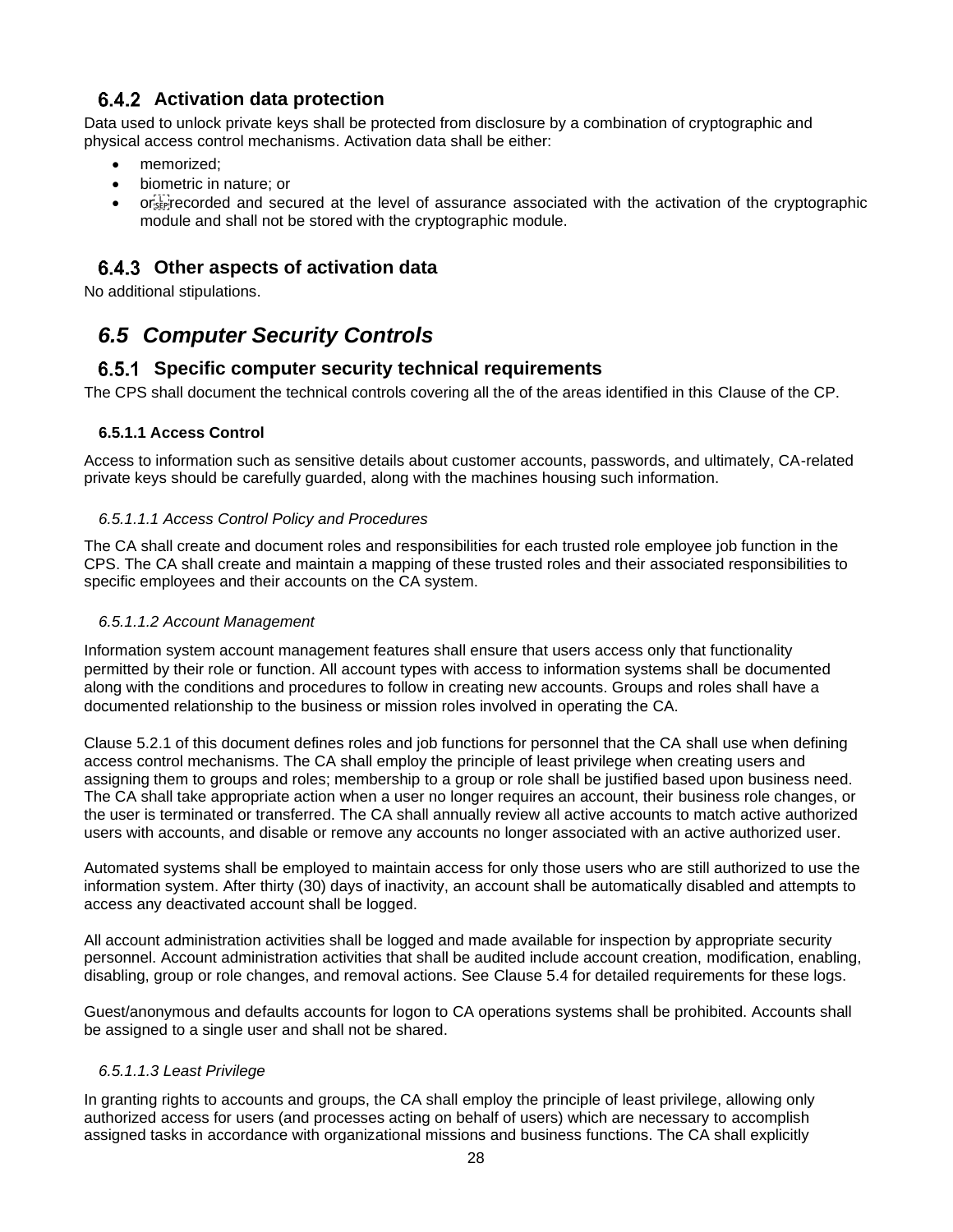#### **Activation data protection**

Data used to unlock private keys shall be protected from disclosure by a combination of cryptographic and physical access control mechanisms. Activation data shall be either:

- memorized;
- biometric in nature; or
- or Frecorded and secured at the level of assurance associated with the activation of the cryptographic module and shall not be stored with the cryptographic module.

### **Other aspects of activation data**

No additional stipulations.

# *6.5 Computer Security Controls*

#### **Specific computer security technical requirements**

The CPS shall document the technical controls covering all the of the areas identified in this Clause of the CP.

#### **6.5.1.1 Access Control**

Access to information such as sensitive details about customer accounts, passwords, and ultimately, CA-related private keys should be carefully guarded, along with the machines housing such information.

#### *6.5.1.1.1 Access Control Policy and Procedures*

The CA shall create and document roles and responsibilities for each trusted role employee job function in the CPS. The CA shall create and maintain a mapping of these trusted roles and their associated responsibilities to specific employees and their accounts on the CA system.

#### *6.5.1.1.2 Account Management*

Information system account management features shall ensure that users access only that functionality permitted by their role or function. All account types with access to information systems shall be documented along with the conditions and procedures to follow in creating new accounts. Groups and roles shall have a documented relationship to the business or mission roles involved in operating the CA.

Clause 5.2.1 of this document defines roles and job functions for personnel that the CA shall use when defining access control mechanisms. The CA shall employ the principle of least privilege when creating users and assigning them to groups and roles; membership to a group or role shall be justified based upon business need. The CA shall take appropriate action when a user no longer requires an account, their business role changes, or the user is terminated or transferred. The CA shall annually review all active accounts to match active authorized users with accounts, and disable or remove any accounts no longer associated with an active authorized user.

Automated systems shall be employed to maintain access for only those users who are still authorized to use the information system. After thirty (30) days of inactivity, an account shall be automatically disabled and attempts to access any deactivated account shall be logged.

All account administration activities shall be logged and made available for inspection by appropriate security personnel. Account administration activities that shall be audited include account creation, modification, enabling, disabling, group or role changes, and removal actions. See Clause 5.4 for detailed requirements for these logs.

Guest/anonymous and defaults accounts for logon to CA operations systems shall be prohibited. Accounts shall be assigned to a single user and shall not be shared.

#### *6.5.1.1.3 Least Privilege*

In granting rights to accounts and groups, the CA shall employ the principle of least privilege, allowing only authorized access for users (and processes acting on behalf of users) which are necessary to accomplish assigned tasks in accordance with organizational missions and business functions. The CA shall explicitly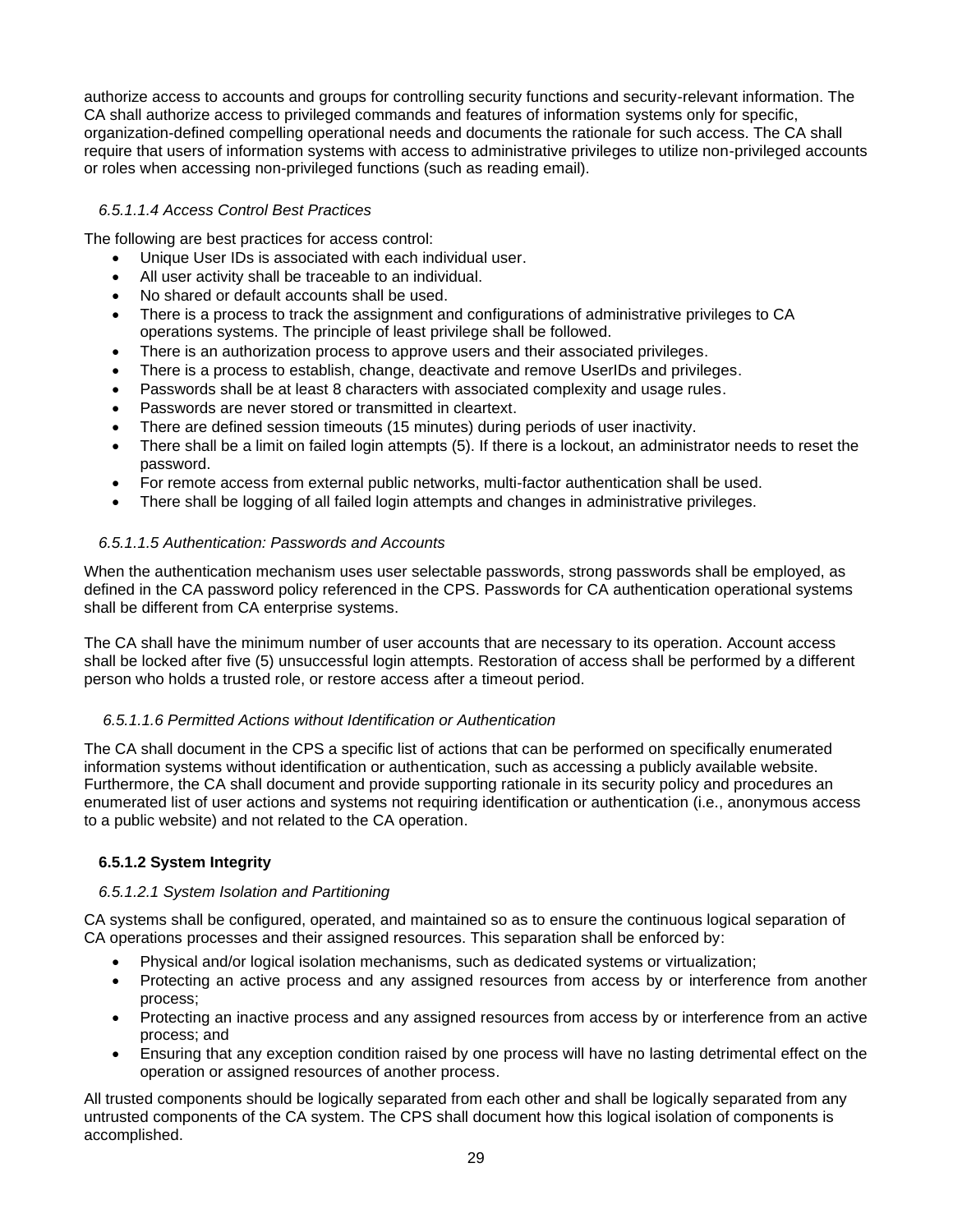authorize access to accounts and groups for controlling security functions and security-relevant information. The CA shall authorize access to privileged commands and features of information systems only for specific, organization-defined compelling operational needs and documents the rationale for such access. The CA shall require that users of information systems with access to administrative privileges to utilize non-privileged accounts or roles when accessing non-privileged functions (such as reading email).

#### *6.5.1.1.4 Access Control Best Practices*

The following are best practices for access control:

- Unique User IDs is associated with each individual user.
- All user activity shall be traceable to an individual.
- No shared or default accounts shall be used.
- There is a process to track the assignment and configurations of administrative privileges to CA operations systems. The principle of least privilege shall be followed.
- There is an authorization process to approve users and their associated privileges.
- There is a process to establish, change, deactivate and remove UserIDs and privileges.
- Passwords shall be at least 8 characters with associated complexity and usage rules.
- Passwords are never stored or transmitted in cleartext.
- There are defined session timeouts (15 minutes) during periods of user inactivity.
- There shall be a limit on failed login attempts (5). If there is a lockout, an administrator needs to reset the password.
- For remote access from external public networks, multi-factor authentication shall be used.
- There shall be logging of all failed login attempts and changes in administrative privileges.

#### *6.5.1.1.5 Authentication: Passwords and Accounts*

When the authentication mechanism uses user selectable passwords, strong passwords shall be employed, as defined in the CA password policy referenced in the CPS. Passwords for CA authentication operational systems shall be different from CA enterprise systems.

The CA shall have the minimum number of user accounts that are necessary to its operation. Account access shall be locked after five (5) unsuccessful login attempts. Restoration of access shall be performed by a different person who holds a trusted role, or restore access after a timeout period.

#### *6.5.1.1.6 Permitted Actions without Identification or Authentication*

The CA shall document in the CPS a specific list of actions that can be performed on specifically enumerated information systems without identification or authentication, such as accessing a publicly available website. Furthermore, the CA shall document and provide supporting rationale in its security policy and procedures an enumerated list of user actions and systems not requiring identification or authentication (i.e., anonymous access to a public website) and not related to the CA operation.

#### **6.5.1.2 System Integrity**

#### *6.5.1.2.1 System Isolation and Partitioning*

CA systems shall be configured, operated, and maintained so as to ensure the continuous logical separation of CA operations processes and their assigned resources. This separation shall be enforced by:

- Physical and/or logical isolation mechanisms, such as dedicated systems or virtualization;
- Protecting an active process and any assigned resources from access by or interference from another process;
- Protecting an inactive process and any assigned resources from access by or interference from an active process; and
- Ensuring that any exception condition raised by one process will have no lasting detrimental effect on the operation or assigned resources of another process.

All trusted components should be logically separated from each other and shall be logically separated from any untrusted components of the CA system. The CPS shall document how this logical isolation of components is accomplished.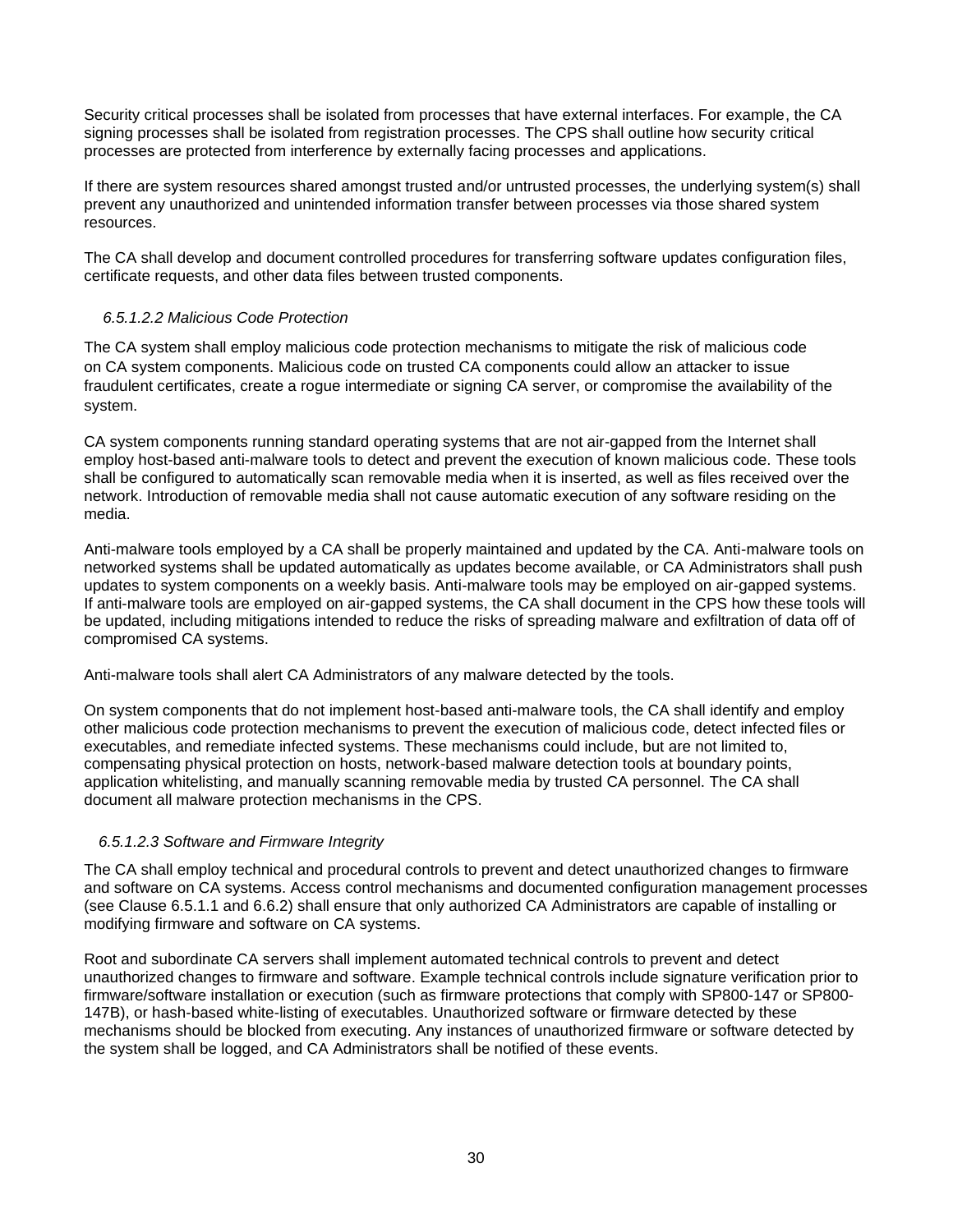Security critical processes shall be isolated from processes that have external interfaces. For example, the CA signing processes shall be isolated from registration processes. The CPS shall outline how security critical processes are protected from interference by externally facing processes and applications.

If there are system resources shared amongst trusted and/or untrusted processes, the underlying system(s) shall prevent any unauthorized and unintended information transfer between processes via those shared system resources.

The CA shall develop and document controlled procedures for transferring software updates configuration files, certificate requests, and other data files between trusted components.

#### *6.5.1.2.2 Malicious Code Protection*

The CA system shall employ malicious code protection mechanisms to mitigate the risk of malicious code on CA system components. Malicious code on trusted CA components could allow an attacker to issue fraudulent certificates, create a rogue intermediate or signing CA server, or compromise the availability of the system.

CA system components running standard operating systems that are not air-gapped from the Internet shall employ host-based anti-malware tools to detect and prevent the execution of known malicious code. These tools shall be configured to automatically scan removable media when it is inserted, as well as files received over the network. Introduction of removable media shall not cause automatic execution of any software residing on the media.

Anti-malware tools employed by a CA shall be properly maintained and updated by the CA. Anti-malware tools on networked systems shall be updated automatically as updates become available, or CA Administrators shall push updates to system components on a weekly basis. Anti-malware tools may be employed on air-gapped systems. If anti-malware tools are employed on air-gapped systems, the CA shall document in the CPS how these tools will be updated, including mitigations intended to reduce the risks of spreading malware and exfiltration of data off of compromised CA systems.

Anti-malware tools shall alert CA Administrators of any malware detected by the tools.

On system components that do not implement host-based anti-malware tools, the CA shall identify and employ other malicious code protection mechanisms to prevent the execution of malicious code, detect infected files or executables, and remediate infected systems. These mechanisms could include, but are not limited to, compensating physical protection on hosts, network-based malware detection tools at boundary points, application whitelisting, and manually scanning removable media by trusted CA personnel. The CA shall document all malware protection mechanisms in the CPS.

#### *6.5.1.2.3 Software and Firmware Integrity*

The CA shall employ technical and procedural controls to prevent and detect unauthorized changes to firmware and software on CA systems. Access control mechanisms and documented configuration management processes (see Clause 6.5.1.1 and 6.6.2) shall ensure that only authorized CA Administrators are capable of installing or modifying firmware and software on CA systems.

Root and subordinate CA servers shall implement automated technical controls to prevent and detect unauthorized changes to firmware and software. Example technical controls include signature verification prior to firmware/software installation or execution (such as firmware protections that comply with SP800-147 or SP800- 147B), or hash-based white-listing of executables. Unauthorized software or firmware detected by these mechanisms should be blocked from executing. Any instances of unauthorized firmware or software detected by the system shall be logged, and CA Administrators shall be notified of these events.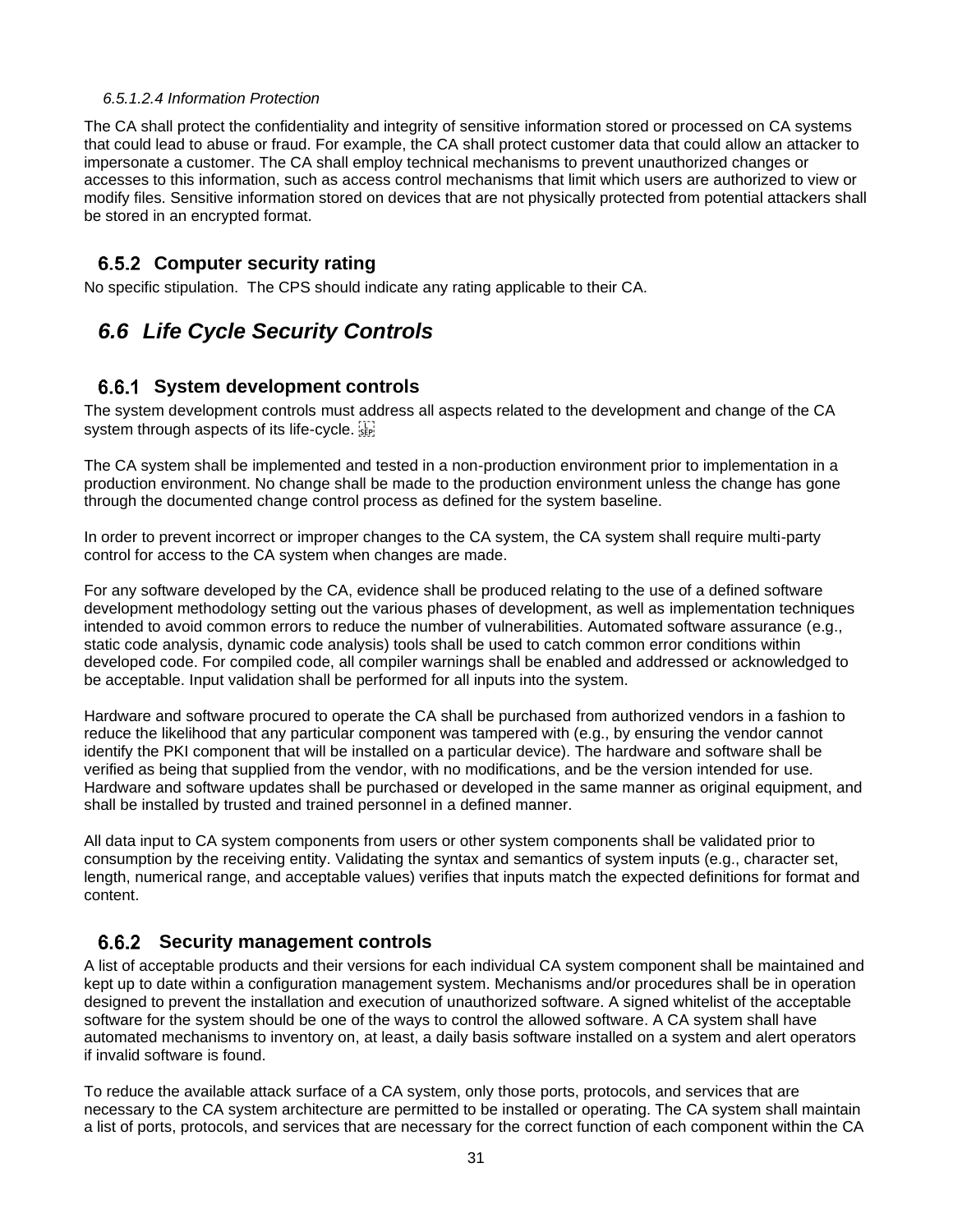#### *6.5.1.2.4 Information Protection*

The CA shall protect the confidentiality and integrity of sensitive information stored or processed on CA systems that could lead to abuse or fraud. For example, the CA shall protect customer data that could allow an attacker to impersonate a customer. The CA shall employ technical mechanisms to prevent unauthorized changes or accesses to this information, such as access control mechanisms that limit which users are authorized to view or modify files. Sensitive information stored on devices that are not physically protected from potential attackers shall be stored in an encrypted format.

#### **Computer security rating**

No specific stipulation. The CPS should indicate any rating applicable to their CA.

# *6.6 Life Cycle Security Controls*

#### **System development controls**

The system development controls must address all aspects related to the development and change of the CA system through aspects of its life-cycle.

The CA system shall be implemented and tested in a non-production environment prior to implementation in a production environment. No change shall be made to the production environment unless the change has gone through the documented change control process as defined for the system baseline.

In order to prevent incorrect or improper changes to the CA system, the CA system shall require multi-party control for access to the CA system when changes are made.

For any software developed by the CA, evidence shall be produced relating to the use of a defined software development methodology setting out the various phases of development, as well as implementation techniques intended to avoid common errors to reduce the number of vulnerabilities. Automated software assurance (e.g., static code analysis, dynamic code analysis) tools shall be used to catch common error conditions within developed code. For compiled code, all compiler warnings shall be enabled and addressed or acknowledged to be acceptable. Input validation shall be performed for all inputs into the system.

Hardware and software procured to operate the CA shall be purchased from authorized vendors in a fashion to reduce the likelihood that any particular component was tampered with (e.g., by ensuring the vendor cannot identify the PKI component that will be installed on a particular device). The hardware and software shall be verified as being that supplied from the vendor, with no modifications, and be the version intended for use. Hardware and software updates shall be purchased or developed in the same manner as original equipment, and shall be installed by trusted and trained personnel in a defined manner.

All data input to CA system components from users or other system components shall be validated prior to consumption by the receiving entity. Validating the syntax and semantics of system inputs (e.g., character set, length, numerical range, and acceptable values) verifies that inputs match the expected definitions for format and content.

#### **Security management controls**

A list of acceptable products and their versions for each individual CA system component shall be maintained and kept up to date within a configuration management system. Mechanisms and/or procedures shall be in operation designed to prevent the installation and execution of unauthorized software. A signed whitelist of the acceptable software for the system should be one of the ways to control the allowed software. A CA system shall have automated mechanisms to inventory on, at least, a daily basis software installed on a system and alert operators if invalid software is found.

To reduce the available attack surface of a CA system, only those ports, protocols, and services that are necessary to the CA system architecture are permitted to be installed or operating. The CA system shall maintain a list of ports, protocols, and services that are necessary for the correct function of each component within the CA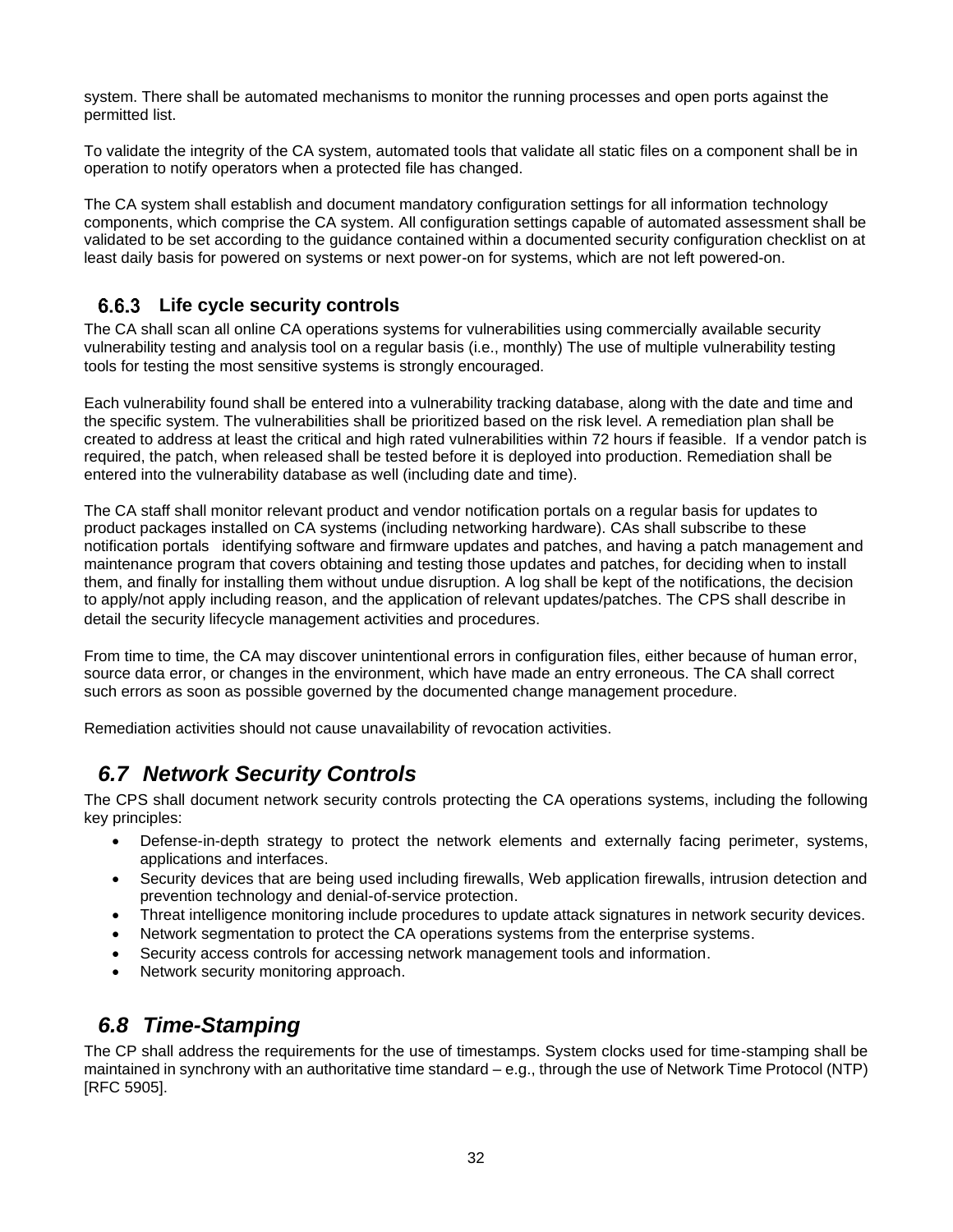system. There shall be automated mechanisms to monitor the running processes and open ports against the permitted list.

To validate the integrity of the CA system, automated tools that validate all static files on a component shall be in operation to notify operators when a protected file has changed.

The CA system shall establish and document mandatory configuration settings for all information technology components, which comprise the CA system. All configuration settings capable of automated assessment shall be validated to be set according to the guidance contained within a documented security configuration checklist on at least daily basis for powered on systems or next power-on for systems, which are not left powered-on.

#### **6.6.3** Life cycle security controls

The CA shall scan all online CA operations systems for vulnerabilities using commercially available security vulnerability testing and analysis tool on a regular basis (i.e., monthly) The use of multiple vulnerability testing tools for testing the most sensitive systems is strongly encouraged.

Each vulnerability found shall be entered into a vulnerability tracking database, along with the date and time and the specific system. The vulnerabilities shall be prioritized based on the risk level. A remediation plan shall be created to address at least the critical and high rated vulnerabilities within 72 hours if feasible. If a vendor patch is required, the patch, when released shall be tested before it is deployed into production. Remediation shall be entered into the vulnerability database as well (including date and time).

The CA staff shall monitor relevant product and vendor notification portals on a regular basis for updates to product packages installed on CA systems (including networking hardware). CAs shall subscribe to these notification portals identifying software and firmware updates and patches, and having a patch management and maintenance program that covers obtaining and testing those updates and patches, for deciding when to install them, and finally for installing them without undue disruption. A log shall be kept of the notifications, the decision to apply/not apply including reason, and the application of relevant updates/patches. The CPS shall describe in detail the security lifecycle management activities and procedures.

From time to time, the CA may discover unintentional errors in configuration files, either because of human error, source data error, or changes in the environment, which have made an entry erroneous. The CA shall correct such errors as soon as possible governed by the documented change management procedure.

Remediation activities should not cause unavailability of revocation activities.

# *6.7 Network Security Controls*

The CPS shall document network security controls protecting the CA operations systems, including the following key principles:

- Defense-in-depth strategy to protect the network elements and externally facing perimeter, systems, applications and interfaces.
- Security devices that are being used including firewalls, Web application firewalls, intrusion detection and prevention technology and denial-of-service protection.
- Threat intelligence monitoring include procedures to update attack signatures in network security devices.
- Network segmentation to protect the CA operations systems from the enterprise systems.
- Security access controls for accessing network management tools and information.
- Network security monitoring approach.

# *6.8 Time-Stamping*

The CP shall address the requirements for the use of timestamps. System clocks used for time-stamping shall be maintained in synchrony with an authoritative time standard – e.g., through the use of Network Time Protocol (NTP) [RFC 5905].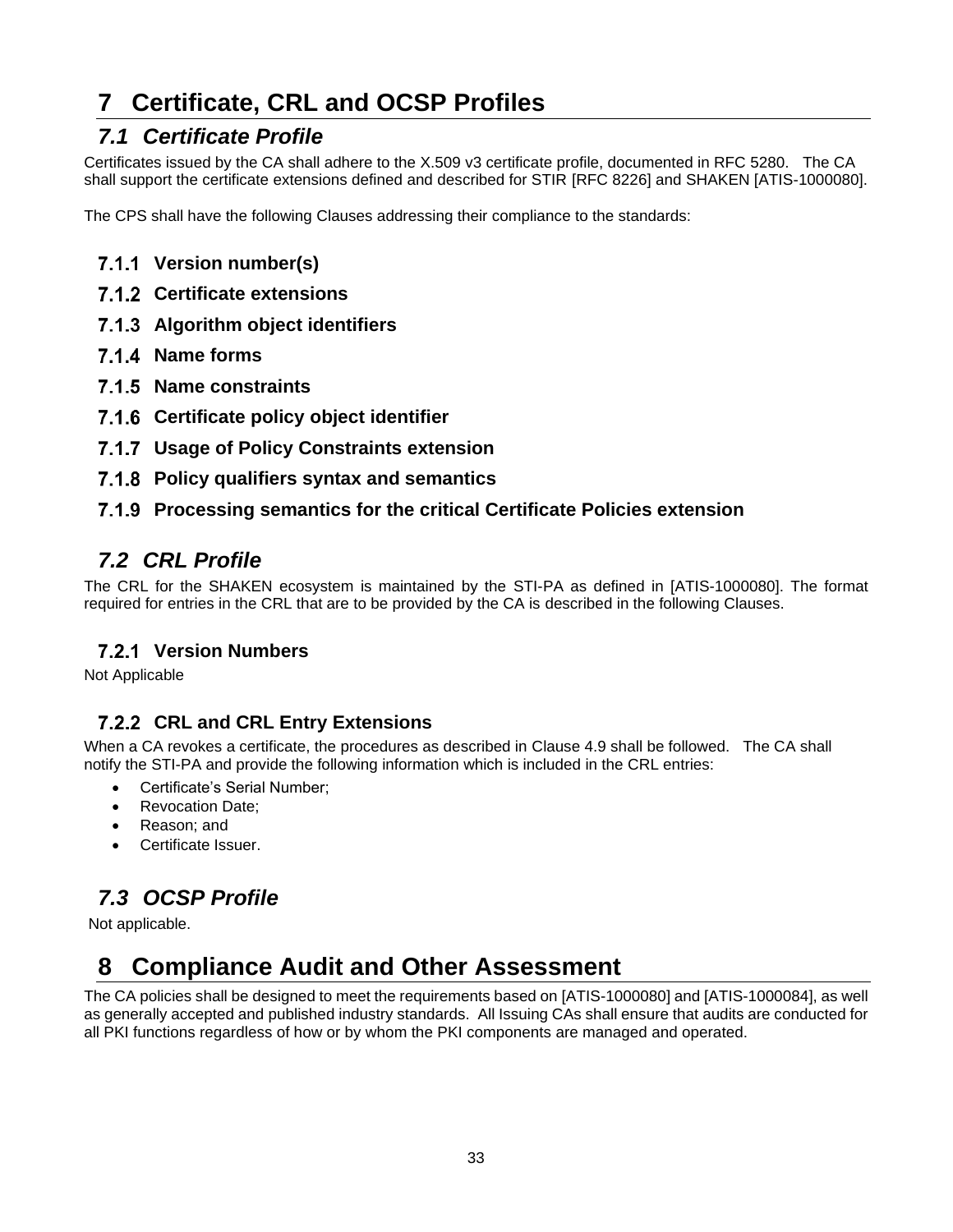# **7 Certificate, CRL and OCSP Profiles**

# *7.1 Certificate Profile*

Certificates issued by the CA shall adhere to the X.509 v3 certificate profile, documented in RFC 5280. The CA shall support the certificate extensions defined and described for STIR [RFC 8226] and SHAKEN [ATIS-1000080].

The CPS shall have the following Clauses addressing their compliance to the standards:

- **Version number(s)**
- **Certificate extensions**
- **Algorithm object identifiers**
- **Name forms**
- **Name constraints**
- **Certificate policy object identifier**
- **Usage of Policy Constraints extension**
- **Policy qualifiers syntax and semantics**
- **Processing semantics for the critical Certificate Policies extension**

# *7.2 CRL Profile*

The CRL for the SHAKEN ecosystem is maintained by the STI-PA as defined in [ATIS-1000080]. The format required for entries in the CRL that are to be provided by the CA is described in the following Clauses.

#### **Version Numbers**

Not Applicable

### **CRL and CRL Entry Extensions**

When a CA revokes a certificate, the procedures as described in Clause 4.9 shall be followed. The CA shall notify the STI-PA and provide the following information which is included in the CRL entries:

- Certificate's Serial Number;
- Revocation Date;
- Reason: and
- Certificate Issuer.

# *7.3 OCSP Profile*

Not applicable.

# **8 Compliance Audit and Other Assessment**

The CA policies shall be designed to meet the requirements based on [ATIS-1000080] and [ATIS-1000084], as well as generally accepted and published industry standards. All Issuing CAs shall ensure that audits are conducted for all PKI functions regardless of how or by whom the PKI components are managed and operated.